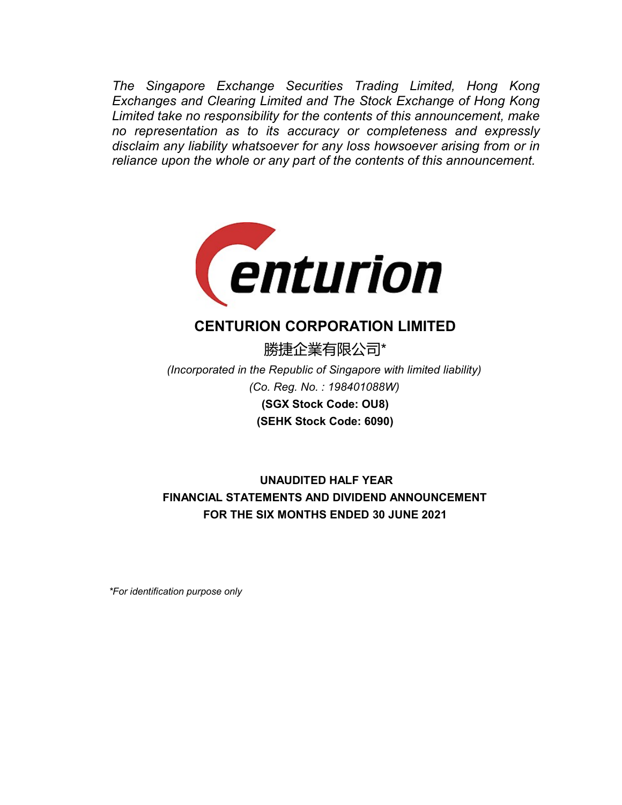The Singapore Exchange Securities Trading Limited, Hong Kong<br>Exchanges and Clearing Limited and The Stock Exchange of Hong Kong<br>Limited take no responsibility for the contents of this announcement, make<br>no representation a The Singapore Exchange Securities Trading Limited, Hong Kong<br>Exchanges and Clearing Limited and The Stock Exchange of Hong Kong<br>Limited take no responsibility for the contents of this announcement, make<br>no representation a The Singapore Exchange Securities Trading Limited, Hong Kong<br>Exchanges and Clearing Limited and The Stock Exchange of Hong Kong<br>Limited take no responsibility for the contents of this announcement, make<br>no representation a The Singapore Exchange Securities Trading Limited, Hong Kong<br>Exchanges and Clearing Limited and The Stock Exchange of Hong Kong<br>Limited take no responsibility for the contents of this announcement, make<br>no representation a The Singapore Exchange Securities Trading Limited, Hong Kong<br>Exchanges and Clearing Limited and The Stock Exchange of Hong Kong<br>Limited take no responsibility for the contents of this announcement, make<br>no representation a The Singapore Exchange Securities Trading Limited, Hong Kong<br>Exchanges and Clearing Limited and The Stock Exchange of Hong Kong<br>Limited take no responsibility for the contents of this announcement, make<br>no representation a



# CENTURION CORPORATION LIMITED

勝捷企業有限公司\*

(SEHK Stock Code: 6090) (Co. Reg. No. : 198401088W) (Incorporated in the Republic of Singapore with limited liability) (SGX Stock Code: OU8)

 UNAUDITED HALF YEAR FINANCIAL STATEMENTS AND DIVIDEND ANNOUNCEMENT FOR THE SIX MONTHS ENDED 30 JUNE 2021

\*For identification purpose only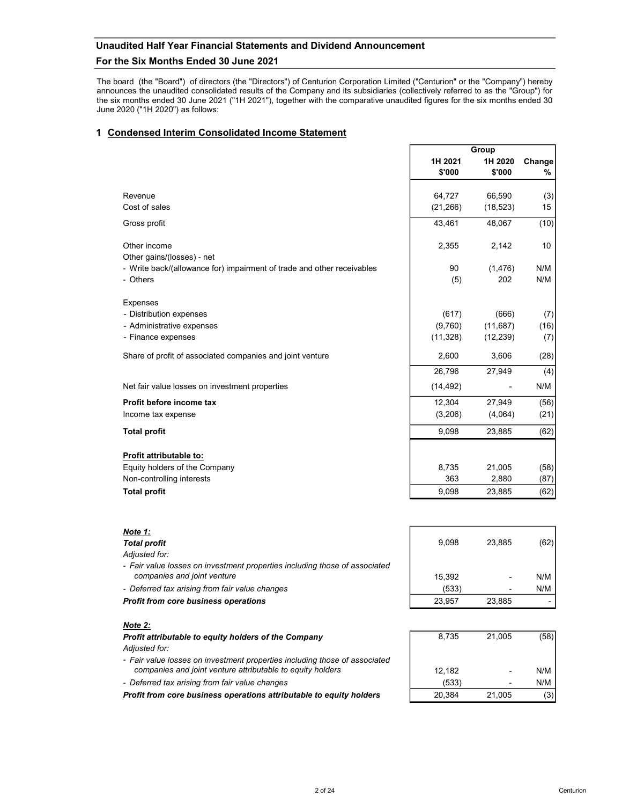# Unaudited Half Year Financial Statements and Dividend Announcement

# For the Six Months Ended 30 June 2021

Unaudited Half Year Financial Statements and Dividend Announcement<br>
For the Six Months Ended 30 June 2021<br>
The board (the "Board") of directors (the "Directors") of Centurion Corporation Limited ("Centurion" or the "Compan Unaudited Half Year Financial Statements and Dividend Announcement<br>
For the Six Months Ended 30 June 2021<br>
The board (the "Board") of directors (the "Cinctors") of Centurion Corporation Limited ("Centurion" or the "Company Unaudited Half Year Financial Statements and Dividend Announcement<br>
For the Six Months Ended 30 June 2021<br>
The board (the "Board") of directors (the "Directors") of Centurion Corporation Limited ("Centurion" or the "Compan Unaudited Half Year Financial Statements and Dividend Announcement<br>
For the Six Months Ended 30 June 2021<br>
The board (the "Board") of directors (the "Directors") of Centurion Corporation Limited ("Centurion" or the "Compan

# 1 Condensed Interim Consolidated Income Statement

|                                                                              | Group     |        |  |
|------------------------------------------------------------------------------|-----------|--------|--|
| 1H 2021                                                                      | 1H 2020   | Change |  |
| \$'000                                                                       | \$'000    | ℅      |  |
| Revenue<br>64,727                                                            | 66.590    | (3)    |  |
| Cost of sales<br>(21, 266)                                                   | (18, 523) | 15     |  |
| 43,461<br>Gross profit                                                       | 48,067    | (10)   |  |
|                                                                              |           |        |  |
| Other income<br>2,355                                                        | 2,142     | 10     |  |
| Other gains/(losses) - net                                                   |           |        |  |
| - Write back/(allowance for) impairment of trade and other receivables<br>90 | (1, 476)  | N/M    |  |
| - Others<br>(5)                                                              | 202       | N/M    |  |
| <b>Expenses</b>                                                              |           |        |  |
| (617)<br>- Distribution expenses                                             | (666)     | (7)    |  |
| (9,760)<br>- Administrative expenses                                         | (11, 687) | (16)   |  |
| - Finance expenses<br>(11, 328)                                              | (12, 239) | (7)    |  |
| Share of profit of associated companies and joint venture<br>2,600           | 3,606     | (28)   |  |
| 26,796                                                                       | 27,949    | (4)    |  |
| Net fair value losses on investment properties<br>(14, 492)                  |           | N/M    |  |
| Profit before income tax<br>12,304                                           | 27,949    | (56)   |  |
| (3,206)<br>Income tax expense                                                | (4,064)   | (21)   |  |
| 9,098<br><b>Total profit</b>                                                 | 23,885    | (62)   |  |
|                                                                              |           |        |  |
| Profit attributable to:<br>Equity holders of the Company<br>8,735            | 21,005    | (58)   |  |
| Non-controlling interests<br>363                                             | 2,880     | (87)   |  |
| <b>Total profit</b><br>9,098                                                 | 23,885    | (62)   |  |

| Note 1:                                                                                                   |        |        |      |
|-----------------------------------------------------------------------------------------------------------|--------|--------|------|
| <b>Total profit</b>                                                                                       | 9.098  | 23.885 | (62) |
| Adiusted for:                                                                                             |        |        |      |
| - Fair value losses on investment properties including those of associated<br>companies and joint venture | 15.392 |        | N/M  |
| - Deferred tax arising from fair value changes                                                            | (533)  |        | N/M  |
| <b>Profit from core business operations</b>                                                               | 23.957 | 23.885 |      |
| $N0$ $\sim$ $\sim$                                                                                        |        |        |      |

| 8,735  | 21,005 | (58) |
|--------|--------|------|
|        |        |      |
| 12,182 |        | N/M  |
| (533)  |        | N/M  |
| 20,384 | 21,005 | (3)  |

# <u>Note 2:</u>

# Profit attributable to equity holders of the Company Adjusted for:

- Fair value losses on investment properties including those of associated companies and joint venture attributable to equity holders
- Deferred tax arising from fair value changes

Profit from core business operations attributable to equity holders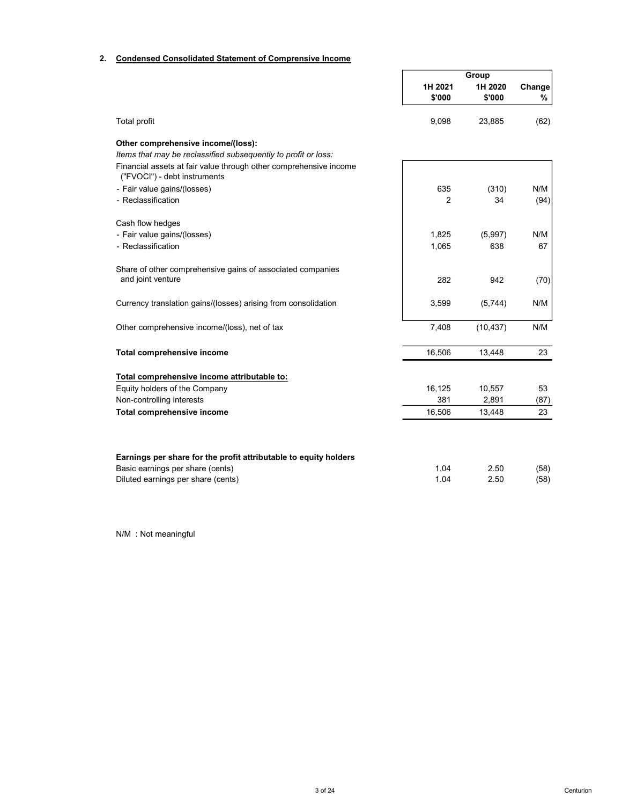# 2. Condensed Consolidated Statement of Comprensive Income

|                                                                                                   |         | Group     |      |  |
|---------------------------------------------------------------------------------------------------|---------|-----------|------|--|
|                                                                                                   | 1H 2021 | 1H 2020   |      |  |
|                                                                                                   | \$'000  | \$'000    | %    |  |
| Total profit                                                                                      | 9,098   | 23,885    | (62) |  |
| Other comprehensive income/(loss):                                                                |         |           |      |  |
| Items that may be reclassified subsequently to profit or loss:                                    |         |           |      |  |
| Financial assets at fair value through other comprehensive income<br>("FVOCI") - debt instruments |         |           |      |  |
| - Fair value gains/(losses)                                                                       | 635     | (310)     | N/M  |  |
| - Reclassification                                                                                | 2       | 34        | (94) |  |
| Cash flow hedges                                                                                  |         |           |      |  |
| - Fair value gains/(losses)                                                                       | 1,825   | (5,997)   | N/M  |  |
| - Reclassification                                                                                | 1,065   | 638       | 67   |  |
| Share of other comprehensive gains of associated companies                                        |         |           |      |  |
| and joint venture                                                                                 | 282     | 942       | (70) |  |
| Currency translation gains/(losses) arising from consolidation                                    | 3,599   | (5,744)   | N/M  |  |
| Other comprehensive income/(loss), net of tax                                                     | 7,408   | (10, 437) | N/M  |  |
| Total comprehensive income                                                                        | 16,506  | 13,448    | 23   |  |
| Total comprehensive income attributable to:                                                       |         |           |      |  |
| Equity holders of the Company                                                                     | 16,125  | 10,557    | 53   |  |
| Non-controlling interests                                                                         | 381     | 2,891     | (87) |  |
| Total comprehensive income                                                                        | 16,506  | 13,448    | 23   |  |
|                                                                                                   |         |           |      |  |
| Earnings per share for the profit attributable to equity holders                                  |         |           |      |  |
| Basic earnings per share (cents)                                                                  | 1.04    | 2.50      | (58) |  |
| Diluted earnings per share (cents)                                                                | 1.04    | 2.50      | (58) |  |

N/M : Not meaningful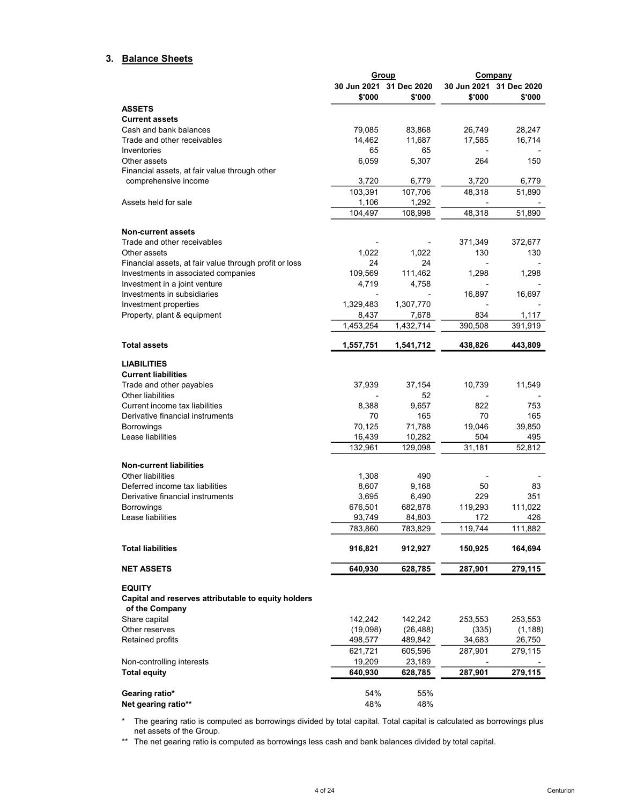# 3. Balance Sheets

|                                                                                        | Group                                 |                                   |         | Company                           |
|----------------------------------------------------------------------------------------|---------------------------------------|-----------------------------------|---------|-----------------------------------|
|                                                                                        | \$'000                                | 30 Jun 2021 31 Dec 2020<br>\$'000 | \$'000  | 30 Jun 2021 31 Dec 2020<br>\$'000 |
| <b>ASSETS</b>                                                                          |                                       |                                   |         |                                   |
| <b>Current assets</b>                                                                  |                                       |                                   |         |                                   |
| Cash and bank balances                                                                 | 79,085                                | 83,868                            | 26,749  | 28,247                            |
| Trade and other receivables                                                            | 14,462                                | 11,687                            | 17,585  | 16,714                            |
| Inventories                                                                            | 65                                    | 65                                |         |                                   |
| Other assets<br>Financial assets, at fair value through other                          | 6,059                                 | 5,307                             | 264     | 150                               |
| comprehensive income                                                                   | 3,720                                 | 6,779                             | 3.720   | 6,779                             |
|                                                                                        | 103,391                               | 107,706                           | 48,318  | 51,890                            |
| Assets held for sale                                                                   | 1,106                                 | 1,292                             |         |                                   |
|                                                                                        | 104,497                               | 108,998                           | 48,318  | 51,890                            |
|                                                                                        |                                       |                                   |         |                                   |
| <b>Non-current assets</b>                                                              |                                       |                                   |         |                                   |
| Trade and other receivables                                                            |                                       |                                   | 371,349 | 372,677                           |
| Other assets                                                                           | 1,022                                 | 1,022                             | 130     | 130                               |
| Financial assets, at fair value through profit or loss                                 | 24                                    | 24                                |         |                                   |
| Investments in associated companies                                                    | 109,569                               | 111,462                           | 1,298   | 1,298                             |
| Investment in a joint venture                                                          | 4,719                                 | 4,758                             |         |                                   |
| Investments in subsidiaries<br>Investment properties                                   | $\overline{\phantom{0}}$<br>1,329,483 | 1,307,770                         | 16,897  | 16,697                            |
|                                                                                        |                                       |                                   | 834     |                                   |
| Property, plant & equipment                                                            | 8,437<br>1,453,254                    | 7,678<br>1,432,714                | 390,508 | 1,117<br>391,919                  |
|                                                                                        |                                       |                                   |         |                                   |
| <b>Total assets</b>                                                                    | 1,557,751                             | 1,541,712                         | 438,826 | 443,809                           |
| <b>LIABILITIES</b>                                                                     |                                       |                                   |         |                                   |
| <b>Current liabilities</b>                                                             |                                       |                                   |         |                                   |
| Trade and other payables                                                               | 37,939                                | 37,154                            | 10,739  | 11,549                            |
| Other liabilities                                                                      |                                       | 52                                |         |                                   |
| Current income tax liabilities                                                         | 8,388                                 | 9,657                             | 822     | 753                               |
| Derivative financial instruments                                                       | 70                                    | 165                               | 70      | 165                               |
| <b>Borrowings</b>                                                                      | 70,125                                | 71,788                            | 19,046  | 39,850                            |
| Lease liabilities                                                                      | 16,439                                | 10,282                            | 504     | 495                               |
|                                                                                        | 132,961                               | 129,098                           | 31,181  | 52,812                            |
| <b>Non-current liabilities</b>                                                         |                                       |                                   |         |                                   |
| <b>Other liabilities</b>                                                               | 1,308                                 | 490                               |         |                                   |
| Deferred income tax liabilities                                                        | 8,607                                 | 9,168                             | 50      | 83                                |
| Derivative financial instruments                                                       | 3,695                                 | 6,490                             | 229     | 351                               |
| <b>Borrowings</b>                                                                      | 676,501                               | 682,878                           | 119,293 | 111,022                           |
| Lease liabilities                                                                      | 93,749                                | 84,803                            | 172     | 426                               |
|                                                                                        | 783,860                               | 783,829                           | 119,744 | 111,882                           |
| <b>Total liabilities</b>                                                               | 916,821                               | 912,927                           | 150,925 | 164,694                           |
| <b>NET ASSETS</b>                                                                      | 640,930                               | 628,785                           | 287,901 | 279,115                           |
|                                                                                        |                                       |                                   |         |                                   |
| <b>EQUITY</b><br>Capital and reserves attributable to equity holders<br>of the Company |                                       |                                   |         |                                   |
| Share capital                                                                          | 142,242                               | 142,242                           | 253,553 | 253,553                           |
| Other reserves                                                                         | (19,098)                              | (26, 488)                         | (335)   | (1, 188)                          |
| Retained profits                                                                       | 498,577                               | 489,842                           | 34,683  | 26,750                            |
|                                                                                        | 621,721                               | 605,596                           | 287,901 | 279,115                           |
| Non-controlling interests                                                              | 19,209                                | 23,189                            |         |                                   |
| <b>Total equity</b>                                                                    | 640,930                               | 628,785                           | 287,901 | 279,115                           |
|                                                                                        |                                       |                                   |         |                                   |
| Gearing ratio*                                                                         | 54%                                   | 55%                               |         |                                   |
| Net gearing ratio**                                                                    | 48%                                   | 48%                               |         |                                   |

\* The gearing ratio is computed as borrowings divided by total capital. Total capital is calculated as borrowings plus net assets of the Group.

\*\* The net gearing ratio is computed as borrowings less cash and bank balances divided by total capital.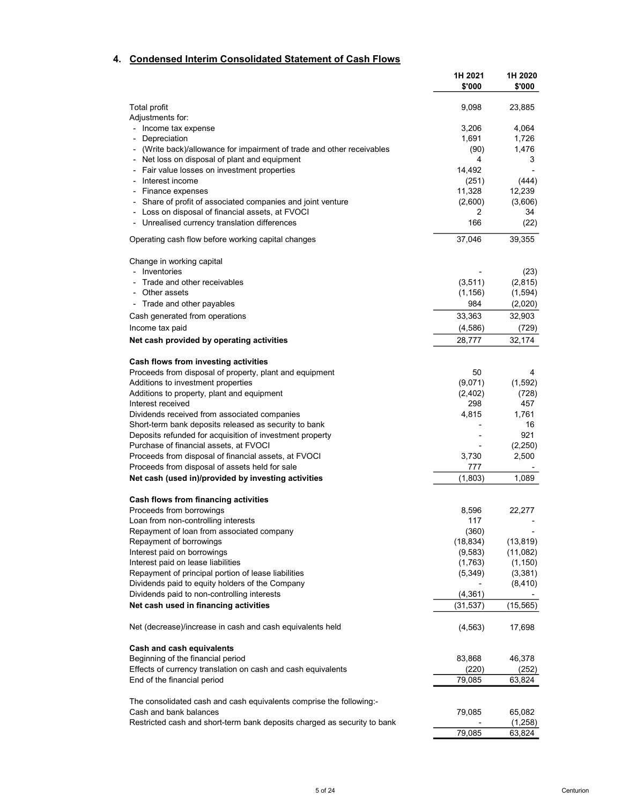# 4. Condensed Interim Consolidated Statement of Cash Flows

|                                                                                                        | 1H 2021<br>\$'000 | 1H 2020<br>\$'000 |
|--------------------------------------------------------------------------------------------------------|-------------------|-------------------|
| Total profit                                                                                           | 9,098             | 23,885            |
| Adjustments for:                                                                                       |                   |                   |
| Income tax expense                                                                                     | 3,206             | 4,064             |
| Depreciation                                                                                           | 1,691             | 1,726             |
| (Write back)/allowance for impairment of trade and other receivables                                   | (90)              | 1,476             |
| Net loss on disposal of plant and equipment                                                            | 4                 | 3                 |
| Fair value losses on investment properties<br>Interest income                                          | 14,492            |                   |
| Finance expenses                                                                                       | (251)             | (444)             |
| Share of profit of associated companies and joint venture                                              | 11,328<br>(2,600) | 12,239<br>(3,606) |
| - Loss on disposal of financial assets, at FVOCI                                                       | 2                 | 34                |
| - Unrealised currency translation differences                                                          | 166               | (22)              |
| Operating cash flow before working capital changes                                                     | 37,046            | 39,355            |
| Change in working capital                                                                              |                   |                   |
| - Inventories                                                                                          |                   | (23)              |
| - Trade and other receivables                                                                          | (3, 511)          | (2, 815)          |
| - Other assets                                                                                         | (1, 156)          | (1, 594)          |
| - Trade and other payables                                                                             | 984               | (2,020)           |
| Cash generated from operations                                                                         | 33,363            | 32,903            |
| Income tax paid                                                                                        | (4,586)           | (729)             |
| Net cash provided by operating activities                                                              | 28,777            | 32,174            |
| Cash flows from investing activities                                                                   |                   |                   |
| Proceeds from disposal of property, plant and equipment                                                | 50                | 4                 |
| Additions to investment properties                                                                     | (9,071)           | (1, 592)<br>(728) |
| Additions to property, plant and equipment<br>Interest received                                        | (2, 402)<br>298   | 457               |
| Dividends received from associated companies                                                           | 4,815             | 1,761             |
| Short-term bank deposits released as security to bank                                                  |                   | 16                |
| Deposits refunded for acquisition of investment property                                               |                   | 921               |
| Purchase of financial assets, at FVOCI                                                                 |                   | (2,250)           |
| Proceeds from disposal of financial assets, at FVOCI                                                   | 3,730             | 2,500             |
| Proceeds from disposal of assets held for sale                                                         | 777               |                   |
| Net cash (used in)/provided by investing activities                                                    | (1,803)           | 1,089             |
| Cash flows from financing activities                                                                   |                   |                   |
| Proceeds from borrowings                                                                               | 8,596             | 22,277            |
| Loan from non-controlling interests                                                                    | 117               |                   |
| Repayment of loan from associated company                                                              | (360)             |                   |
| Repayment of borrowings                                                                                | (18, 834)         | (13, 819)         |
| Interest paid on borrowings                                                                            | (9, 583)          | (11,082)          |
| Interest paid on lease liabilities                                                                     | (1,763)           | (1, 150)          |
| Repayment of principal portion of lease liabilities<br>Dividends paid to equity holders of the Company | (5, 349)          | (3,381)           |
| Dividends paid to non-controlling interests                                                            | (4, 361)          | (8, 410)          |
| Net cash used in financing activities                                                                  | (31, 537)         | (15, 565)         |
|                                                                                                        |                   |                   |
| Net (decrease)/increase in cash and cash equivalents held                                              | (4, 563)          | 17,698            |
| Cash and cash equivalents                                                                              |                   |                   |
| Beginning of the financial period<br>Effects of currency translation on cash and cash equivalents      | 83,868<br>(220)   | 46,378<br>(252)   |
| End of the financial period                                                                            | 79,085            | 63,824            |
|                                                                                                        |                   |                   |
| The consolidated cash and cash equivalents comprise the following:-                                    |                   |                   |
| Cash and bank balances                                                                                 | 79,085            | 65,082            |
| Restricted cash and short-term bank deposits charged as security to bank                               |                   | (1,258)           |
|                                                                                                        | 79,085            | 63,824            |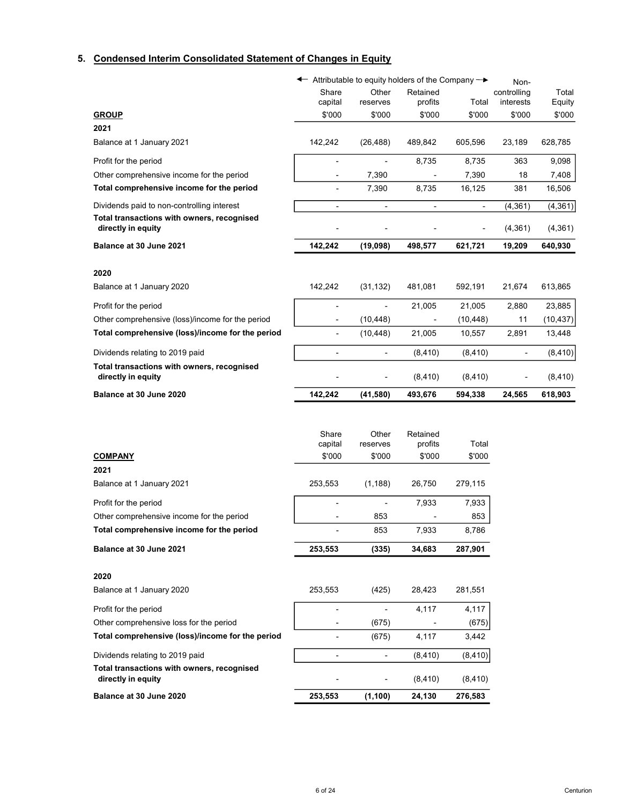# 5. Condensed Interim Consolidated Statement of Changes in Equity

|                                                                  | ← Attributable to equity holders of the Company → |                          |                          |                          | Non-                     |                 |
|------------------------------------------------------------------|---------------------------------------------------|--------------------------|--------------------------|--------------------------|--------------------------|-----------------|
|                                                                  | Share<br>capital                                  | Other<br>reserves        | Retained<br>profits      | Total                    | controlling<br>interests | Total<br>Equity |
| <b>GROUP</b>                                                     | \$'000                                            | \$'000                   | \$'000                   | \$'000                   | \$'000                   | \$'000          |
| 2021                                                             |                                                   |                          |                          |                          |                          |                 |
| Balance at 1 January 2021                                        | 142,242                                           | (26, 488)                | 489,842                  | 605,596                  | 23,189                   | 628,785         |
| Profit for the period                                            |                                                   | $\overline{\phantom{a}}$ | 8,735                    | 8,735                    | 363                      | 9,098           |
| Other comprehensive income for the period                        |                                                   | 7,390                    |                          | 7,390                    | 18                       | 7,408           |
| Total comprehensive income for the period                        | ٠                                                 | 7,390                    | 8,735                    | 16,125                   | 381                      | 16,506          |
| Dividends paid to non-controlling interest                       | $\overline{\phantom{a}}$                          | $\overline{\phantom{a}}$ | $\overline{\phantom{a}}$ | $\overline{\phantom{a}}$ | (4, 361)                 | (4, 361)        |
| Total transactions with owners, recognised<br>directly in equity |                                                   |                          |                          |                          | (4,361)                  | (4, 361)        |
| Balance at 30 June 2021                                          | 142,242                                           | (19,098)                 | 498,577                  | 621,721                  | 19,209                   | 640,930         |
| 2020                                                             |                                                   |                          |                          |                          |                          |                 |
| Balance at 1 January 2020                                        | 142,242                                           | (31, 132)                | 481,081                  | 592,191                  | 21,674                   | 613,865         |
| Profit for the period                                            |                                                   |                          | 21,005                   | 21,005                   | 2,880                    | 23,885          |
| Other comprehensive (loss)/income for the period                 |                                                   | (10, 448)                |                          | (10, 448)                | 11                       | (10, 437)       |
| Total comprehensive (loss)/income for the period                 |                                                   | (10, 448)                | 21,005                   | 10,557                   | 2,891                    | 13,448          |
| Dividends relating to 2019 paid                                  | $\overline{\phantom{a}}$                          | $\overline{\phantom{a}}$ | (8, 410)                 | (8, 410)                 | $\overline{\phantom{0}}$ | (8, 410)        |
| Total transactions with owners, recognised<br>directly in equity |                                                   | $\overline{a}$           | (8, 410)                 | (8, 410)                 |                          | (8, 410)        |
| Balance at 30 June 2020                                          | 142,242                                           | (41,580)                 | 493,676                  | 594,338                  | 24,565                   | 618,903         |
|                                                                  |                                                   |                          |                          |                          |                          |                 |
|                                                                  | Share                                             | Other                    | Retained                 |                          |                          |                 |
|                                                                  | capital                                           | reserves                 | profits                  | Total                    |                          |                 |
| <b>COMPANY</b>                                                   | \$'000                                            | \$'000                   | \$'000                   | \$'000                   |                          |                 |
| 2021                                                             |                                                   |                          |                          |                          |                          |                 |
| Balance at 1 January 2021                                        | 253,553                                           | (1, 188)                 | 26,750                   | 279,115                  |                          |                 |
| Profit for the period                                            |                                                   |                          | 7,933                    | 7,933                    |                          |                 |
| Other comprehensive income for the period                        |                                                   | 853                      |                          | 853                      |                          |                 |
| Total comprehensive income for the period                        |                                                   | 853                      | 7,933                    | 8,786                    |                          |                 |
| Balance at 30 June 2021                                          | 253,553                                           | (335)                    | 34,683                   | 287,901                  |                          |                 |
| 2020                                                             |                                                   |                          |                          |                          |                          |                 |
| Balance at 1 January 2020                                        | 253,553                                           | (425)                    | 28,423                   | 281,551                  |                          |                 |
| Profit for the period                                            |                                                   | $\overline{a}$           | 4,117                    | 4,117                    |                          |                 |
| Other comprehensive loss for the period                          |                                                   | (675)                    |                          | (675)                    |                          |                 |
| Total comprehensive (loss)/income for the period                 |                                                   | (675)                    | 4,117                    | 3,442                    |                          |                 |
| Dividends relating to 2019 paid                                  |                                                   | -                        | (8, 410)                 | (8, 410)                 |                          |                 |
| Total transactions with owners, recognised<br>directly in equity |                                                   |                          | (8, 410)                 | (8, 410)                 |                          |                 |
| Balance at 30 June 2020                                          | 253,553                                           | (1, 100)                 | 24,130                   | 276,583                  |                          |                 |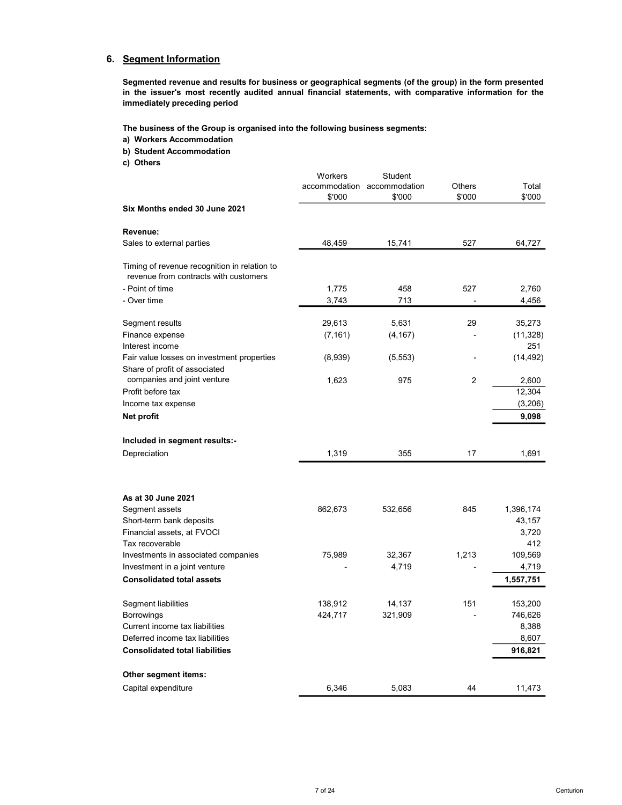# 6. Segment Information

Segmented revenue and results for business or geographical segments (of the group) in the form presented in the issuer's most recently audited annual financial statements, with comparative information for the immediately preceding period

The business of the Group is organised into the following business segments:

- a) Workers Accommodation
- b) Student Accommodation
- c) Others

|                                                                                       | Workers  | Student                     |                |           |
|---------------------------------------------------------------------------------------|----------|-----------------------------|----------------|-----------|
|                                                                                       |          | accommodation accommodation | <b>Others</b>  | Total     |
|                                                                                       | \$'000   | \$'000                      | \$'000         | \$'000    |
| Six Months ended 30 June 2021                                                         |          |                             |                |           |
| Revenue:                                                                              |          |                             |                |           |
| Sales to external parties                                                             | 48,459   | 15,741                      | 527            | 64,727    |
| Timing of revenue recognition in relation to<br>revenue from contracts with customers |          |                             |                |           |
| - Point of time                                                                       | 1,775    | 458                         | 527            | 2,760     |
| - Over time                                                                           | 3,743    | 713                         |                | 4,456     |
| Segment results                                                                       | 29,613   | 5,631                       | 29             | 35,273    |
| Finance expense                                                                       | (7, 161) | (4, 167)                    |                | (11, 328) |
| Interest income                                                                       |          |                             |                | 251       |
| Fair value losses on investment properties                                            | (8,939)  | (5, 553)                    |                | (14, 492) |
| Share of profit of associated                                                         |          |                             |                |           |
| companies and joint venture                                                           | 1,623    | 975                         | $\overline{2}$ | 2,600     |
| Profit before tax                                                                     |          |                             |                | 12,304    |
| Income tax expense                                                                    |          |                             |                | (3,206)   |
| Net profit                                                                            |          |                             |                | 9,098     |
| Included in segment results:-                                                         |          |                             |                |           |
| Depreciation                                                                          | 1,319    | 355                         | 17             | 1,691     |
|                                                                                       |          |                             |                |           |
|                                                                                       |          |                             |                |           |
| As at 30 June 2021                                                                    |          |                             |                |           |
| Segment assets                                                                        | 862,673  | 532,656                     | 845            | 1,396,174 |
| Short-term bank deposits                                                              |          |                             |                | 43,157    |
| Financial assets, at FVOCI                                                            |          |                             |                | 3,720     |
| Tax recoverable                                                                       |          |                             |                | 412       |
| Investments in associated companies                                                   | 75,989   | 32,367                      | 1,213          | 109,569   |
| Investment in a joint venture                                                         |          | 4,719                       |                | 4,719     |
| <b>Consolidated total assets</b>                                                      |          |                             |                | 1,557,751 |
| Segment liabilities                                                                   | 138,912  | 14,137                      | 151            | 153,200   |
| <b>Borrowings</b>                                                                     | 424,717  | 321,909                     |                | 746,626   |
| Current income tax liabilities                                                        |          |                             |                | 8,388     |
| Deferred income tax liabilities                                                       |          |                             |                | 8,607     |
| <b>Consolidated total liabilities</b>                                                 |          |                             |                | 916,821   |
| Other segment items:                                                                  |          |                             |                |           |
|                                                                                       |          |                             |                |           |
| Capital expenditure                                                                   | 6,346    | 5,083                       | 44             | 11,473    |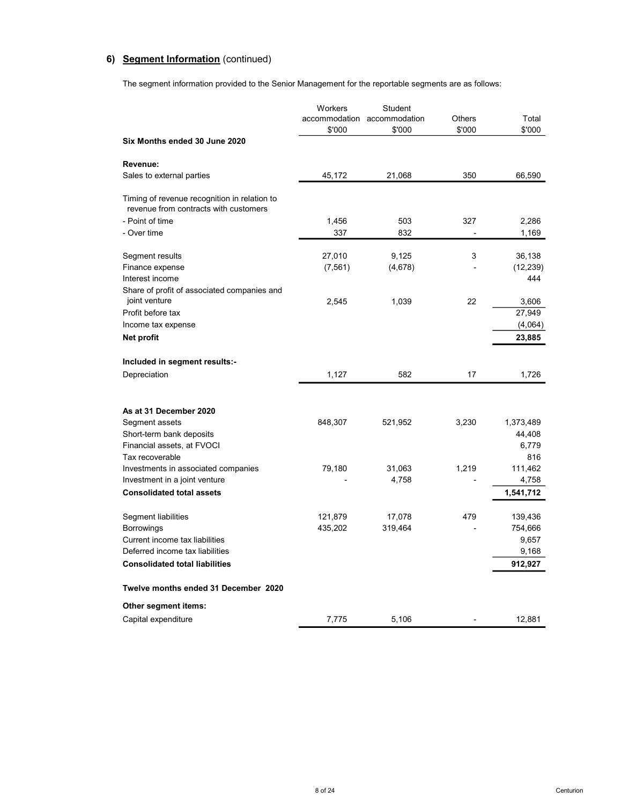# 6) Segment Information (continued)

The segment information provided to the Senior Management for the reportable segments are as follows:

|                                                                                       | Workers<br>\$'000 | <b>Student</b><br>accommodation accommodation<br>\$'000 | Others<br>\$'000 | Total<br>\$'000    |
|---------------------------------------------------------------------------------------|-------------------|---------------------------------------------------------|------------------|--------------------|
| Six Months ended 30 June 2020                                                         |                   |                                                         |                  |                    |
| Revenue:                                                                              |                   |                                                         |                  |                    |
| Sales to external parties                                                             | 45,172            | 21,068                                                  | 350              | 66,590             |
| Timing of revenue recognition in relation to<br>revenue from contracts with customers |                   |                                                         |                  |                    |
| - Point of time                                                                       | 1,456             | 503                                                     | 327              | 2,286              |
| - Over time                                                                           | 337               | 832                                                     |                  | 1,169              |
| Segment results                                                                       | 27,010            | 9,125                                                   | 3                | 36,138             |
| Finance expense                                                                       | (7, 561)          | (4,678)                                                 |                  | (12, 239)          |
| Interest income                                                                       |                   |                                                         |                  | 444                |
| Share of profit of associated companies and<br>joint venture                          | 2,545             | 1,039                                                   | 22               | 3,606              |
| Profit before tax                                                                     |                   |                                                         |                  | 27,949             |
| Income tax expense                                                                    |                   |                                                         |                  | (4,064)            |
| Net profit                                                                            |                   |                                                         |                  | 23,885             |
| Included in segment results:-                                                         |                   |                                                         |                  |                    |
| Depreciation                                                                          | 1,127             | 582                                                     | 17               | 1,726              |
|                                                                                       |                   |                                                         |                  |                    |
| As at 31 December 2020                                                                |                   |                                                         |                  |                    |
| Segment assets                                                                        | 848,307           | 521,952                                                 | 3,230            | 1,373,489          |
| Short-term bank deposits                                                              |                   |                                                         |                  | 44,408             |
| Financial assets, at FVOCI                                                            |                   |                                                         |                  | 6,779              |
| Tax recoverable                                                                       |                   |                                                         |                  | 816                |
| Investments in associated companies                                                   | 79,180            | 31,063                                                  | 1,219            | 111,462            |
| Investment in a joint venture<br><b>Consolidated total assets</b>                     |                   | 4,758                                                   |                  | 4,758<br>1,541,712 |
|                                                                                       |                   |                                                         |                  |                    |
| Segment liabilities                                                                   | 121,879           | 17,078                                                  | 479              | 139,436            |
| <b>Borrowings</b>                                                                     | 435,202           | 319,464                                                 |                  | 754,666            |
| Current income tax liabilities                                                        |                   |                                                         |                  | 9,657              |
| Deferred income tax liabilities                                                       |                   |                                                         |                  | 9,168              |
| <b>Consolidated total liabilities</b>                                                 |                   |                                                         |                  | 912,927            |
| Twelve months ended 31 December 2020                                                  |                   |                                                         |                  |                    |
| Other segment items:                                                                  |                   |                                                         |                  |                    |
| Capital expenditure                                                                   | 7,775             | 5,106                                                   |                  | 12,881             |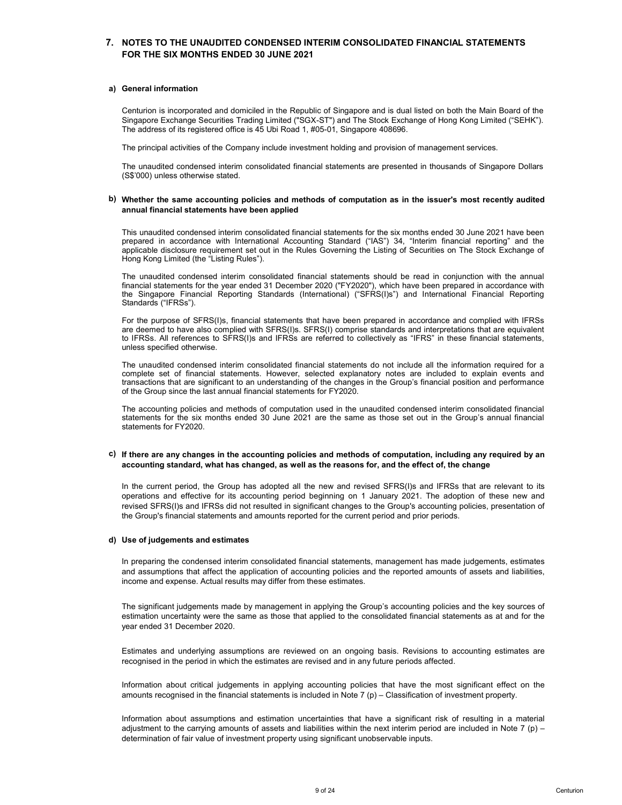# 7. NOTES TO THE UNAUDITED CONDENSED INTERIM CONSOLIDATED FINANCIAL STATEMENTS FOR THE SIX MONTHS ENDED 30 JUNE 2021

### a) General information

**NOTES TO THE UNAUDITED CONDENSED INTERIM CONSOLIDATED FINANCIAL STATEMENTS**<br>FOR THE SIX MONTHS ENDED 30 JUNE 2021<br>Centurion is incorporated and domiciled in the Republic of Singapore and is dual listed on both the Main Bo NOTES TO THE UNAUDITED CONDENSED INTERIM CONSOLIDATED FINANCIAL STATEMENTS<br>FOR THE SIX MONTHS ENDED 30 JUNE 2021<br>Seneral information<br>Centurion is incorporated and domiciled in the Republic of Singapore and is dual listed o NOTES TO THE UNAUDITED CONDENSED INTERIM CONSOLIDATED FINANCIAL STATEMENTS<br>FOR THE SIX MONTHS ENDED 30 JUNE 2021<br>General information<br>Centurion is incorporated and domiciled in the Republic of Singapore and is dual listed o NOTES TO THE UNAUDITED CONDENSED INTERIM CONSOLIDATED FINANCIAL STATEMENTS<br>FOR THE SIX MONTHS ENDED 30 JUNE 2021<br>General information<br>Centurion is incorporated and domiciled in the Republic of Singapore and is dual listed o NOTES TO THE UNAUDITED CONDENSED INTERIM CONSOLIDATED FINANCIAL STATEMENTS<br>FOR THE SIX MONTHS ENDED 30 JUNE 2021<br>Seneral information<br>Centurion is incorporated and domiciled in the Republic of Singapore and is dual listed o NOTES TO THE UNAUDITED CONDENSED INTERIM CONSOLIDATED FINANCIAL STATEMENTS<br>FOR THE SIX MONTHS ENDED 30 JUNE 2021<br>Seneral information<br>Singapore Exchange Securities Trading Limited ("SOX-ST") and The Stock Exchange of Hong K

# b) Whether the same accounting policies and methods of computation as in the issuer's most recently audited annual financial statements have been applied

**NOTES TO THE UNAUDITED CONDENSED INTERIM CONSOLIDATED FINANCIAL STATEMENTS**<br>FOR THE SIX MONTHS ENDED 30 JUNE 2021<br>Singapore Exchange Securities Trading Limitation (Statements of Singapore and is dual listed on both the Ma **ROTES TO THE UNAUDITED CONDENSED INTERIM CONSOLIDATED FINANCIAL STATEMENTS**<br>FOR THE SIX MONTHS ENDED 30 JUNE 2021<br>General information<br>General information<br>Singapore Exchange Securities Trading Limited ("SGX-ST") and The Sl **ROTES TO THE UNAUDITED CONDENSED INTERIM CONSOLIDATED FINANCIAL STATEMENTS**<br>FOR THE SIX MONTHS ENDED 30 JUNE 2021<br>Centration is incorporated and domiciled in the Republic of Singapore and is dual listed on both the Main B NOTES TO THE UNAUDITED CONDENSED INTERIM CONSOLIDATED FINANCIAL STATEMENTS<br>FOR THE SIX MONTHS ENDED 30 JUNE 2021<br>Centerior is incorporated and domicided in the Republic of Singapore and is dual listed on both the Main Boar NOTES TO THE UNAUDITED CONDENSED INTERIM CONSOLIDATED FINANCIAL STATEMENTS<br>Central information<br>Gentral information<br>Central information<br>Shingapore Excluding Securities Trading United (Solicy Singapore and is dual listed on **FIGR THE UNAUDITED CONDENSED INTERIM CONSOLIDATED FINANCIAL STATEMENTS**<br>FOR THE SIX MONTHS ENDED 30 JUNE 2021<br>Centration is incroporated and domicided in the Republic of Singapore and is dual listed on both the Main Board NOTES TO THE UNAUDITED CONDENSED INTERIM CONSOLIDATED FINANCIAL STATEMENTS<br>FOR THE SIX MONTHS ENDED 30 JUNE 2021<br>General information<br>Centurion is incorporated and domicled in the Republic of Singapore and is dual listed on NOTES TO THE UNAUDITED CONDENSED INTERIM CONSOLIDATED FINANCIAL STATE<br>FOR THE SIX MONTHS ENDED 30 JUNE 2021<br>Seneral information<br>Centurion is incorporated and dominiled in the Republic of Singapore and is dual listed on bot For the SIX multimation<br>
General information<br>
Centurion is incorporated and dominiede in the Republic of Singapore and is dual listed on both the Main Board of the<br>
Singapore Excluding Securities Trading Limited ("SOK-ST) General information<br>Centurion is incorporated and domiciled in the Republic of Singapore and is dual listed on both the Main Board of the<br>Singapore Exchange Securities Trading Umited (SCX-STT) and The Stock Exchange of Hon General information<br>Centurion is incorporated and domiciled in the Republic of Singapore and is dual listed on both the Main Board of the<br>Singapore Exchange Securities Trading Limited ("SOX-ST") and The Stock Exchange of H General information<br>Centurion is incorporated and domiciled in the Republic of Singapore and is dual listed on both the Main Boar<br>Singapore Exchange Securities Trading Limited ("SCX-ST") and The Stock Exchange of Hong Kong Centurion is incorporated and domicied in the Republic of Singapore and is dual listed on both the Main Board of the United (SSENC) in a film Sloss Exchange of Hong Kong Limited (SSENC), and the statements Trading Limited Centurion is incorporated and dominicled in the Republic of Singapore and is dual listed on both the Maria Bond of the Statements.<br>
Singapore Exchange Securities Trading Limited ("SCK-ST") and The Stock Exchange of Hong Ko Singapore Exclusions Traising Limited ("SSE-KST") and This Since: Exclusions of the Group's are significant to an understanding the Company include investigated of the Company include investigated financial position of man The address of tis registered office is 45 Ubi Road 1, #05-01, Singapore 406696.<br>The uniquidate of the Company include investment holding and provision of management services.<br>The unaudided condensed inferim consolidated f The principal activities of the Company include investment holding and provision of management serics.<br>The unaudited condensed interim consolidated financial statements are presented in thousands of Singapore Dollars<br>(S\$'0 The unaudited condensed interim consolidated financial statements are presented in thousands of Singapore Dollars<br>(SST000) unless otherwise stated.<br>
MMether the same accounting policies and methods of computation as in the The unaudited condensed interim consolidated financial statements are presented in thousands of Singapc<br>(S\$'000) unless obtewise stated.<br> **Kinding of the Same accounting policies and methods of computation as in the issuer** 

# c) If there are any changes in the accounting policies and methods of computation, including any required by an accounting standard, what has changed, as well as the reasons for, and the effect of, the change

In the current period, the Group has adopted all the new and revised SFRS(I)s and IFRSs that are relevant to its operations and effective for its accounting period beginning on 1 January 2021. The adoption of these new and revised SFRS(I)s and IFRSs did not resulted in significant changes to the Group's accounting policies, presentation of the Group's financial statements and amounts reported for the current period and prior periods.

### d) Use of judgements and estimates

In preparing the condensed interim consolidated financial statements, management has made judgements, estimates and assumptions that affect the application of accounting policies and the reported amounts of assets and liabilities, income and expense. Actual results may differ from these estimates.

The significant judgements made by management in applying the Group's accounting policies and the key sources of estimation uncertainty were the same as those that applied to the consolidated financial statements as at and for the year ended 31 December 2020.

Estimates and underlying assumptions are reviewed on an ongoing basis. Revisions to accounting estimates are recognised in the period in which the estimates are revised and in any future periods affected.

Information about critical judgements in applying accounting policies that have the most significant effect on the amounts recognised in the financial statements is included in Note 7 (p) – Classification of investment property.

Information about assumptions and estimation uncertainties that have a significant risk of resulting in a material adjustment to the carrying amounts of assets and liabilities within the next interim period are included in Note 7 (p) – determination of fair value of investment property using significant unobservable inputs.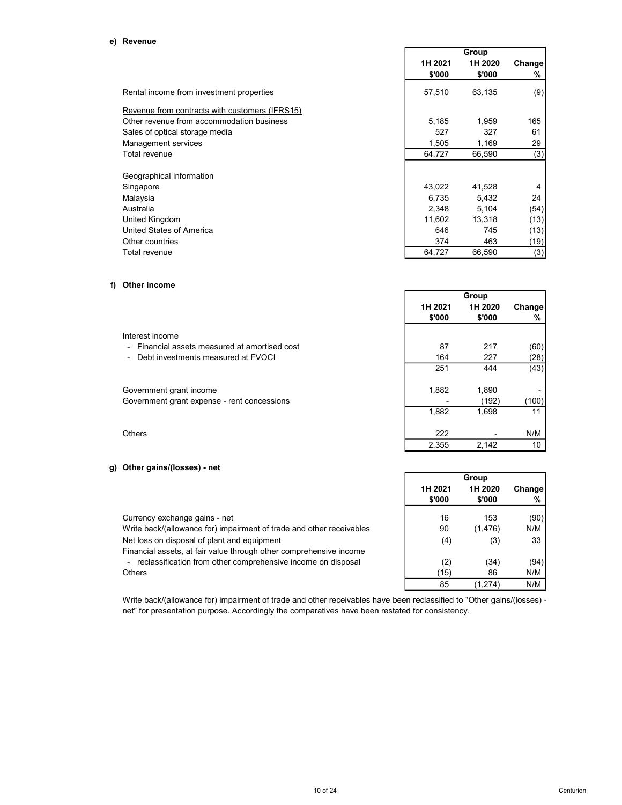|                                                | Group   |         |         |
|------------------------------------------------|---------|---------|---------|
|                                                | 1H 2021 | 1H 2020 | Changel |
|                                                | \$'000  | \$'000  | %       |
| Rental income from investment properties       | 57,510  | 63,135  | (9)     |
| Revenue from contracts with customers (IFRS15) |         |         |         |
| Other revenue from accommodation business      | 5,185   | 1,959   | 165     |
| Sales of optical storage media                 | 527     | 327     | 61      |
| Management services                            | 1,505   | 1,169   | 29      |
| Total revenue                                  | 64,727  | 66,590  | (3)     |
|                                                |         |         |         |
| Geographical information                       |         |         |         |
| Singapore                                      | 43,022  | 41,528  | 4       |
| Malaysia                                       | 6.735   | 5.432   | 24      |
| Australia                                      | 2,348   | 5,104   | (54)    |
| United Kingdom                                 | 11,602  | 13.318  | (13)    |
| United States of America                       | 646     | 745     | (13)    |
| Other countries                                | 374     | 463     | (19)    |
| Total revenue                                  | 64,727  | 66,590  | (3)     |

# f) Other income

|                                               |                   | Group             |             |  |  |
|-----------------------------------------------|-------------------|-------------------|-------------|--|--|
|                                               | 1H 2021<br>\$'000 | 1H 2020<br>\$'000 | Change<br>% |  |  |
| Interest income                               |                   |                   |             |  |  |
| - Financial assets measured at amortised cost | 87                | 217               | (60)        |  |  |
| Debt investments measured at FVOCI            | 164               | 227               | (28)        |  |  |
|                                               | 251               | 444               | (43)        |  |  |
| Government grant income                       | 1,882             | 1,890             |             |  |  |
| Government grant expense - rent concessions   |                   | (192)             | (100)       |  |  |
|                                               | 1,882             | 1,698             | 11          |  |  |
| Others                                        | 222               |                   | N/M         |  |  |
|                                               | 2,355             | 2,142             | 10          |  |  |

# g) Other gains/(losses) - net

|                                                                                                                   |         | Group    |         |
|-------------------------------------------------------------------------------------------------------------------|---------|----------|---------|
|                                                                                                                   | 1H 2021 | 1H 2020  | Changel |
|                                                                                                                   | \$'000  | \$'000   | %       |
| Currency exchange gains - net                                                                                     | 16      | 153      | (90)    |
| Write back/(allowance for) impairment of trade and other receivables                                              | 90      | (1, 476) | N/M     |
| Net loss on disposal of plant and equipment<br>Financial assets, at fair value through other comprehensive income | (4)     | (3)      | 33      |
| - reclassification from other comprehensive income on disposal                                                    | (2)     | (34)     | (94)    |
| <b>Others</b>                                                                                                     | (15)    | 86       | N/M     |
|                                                                                                                   | 85      | (1,274)  | N/M     |

Write back/(allowance for) impairment of trade and other receivables have been reclassified to "Other gains/(losses) net" for presentation purpose. Accordingly the comparatives have been restated for consistency.

٦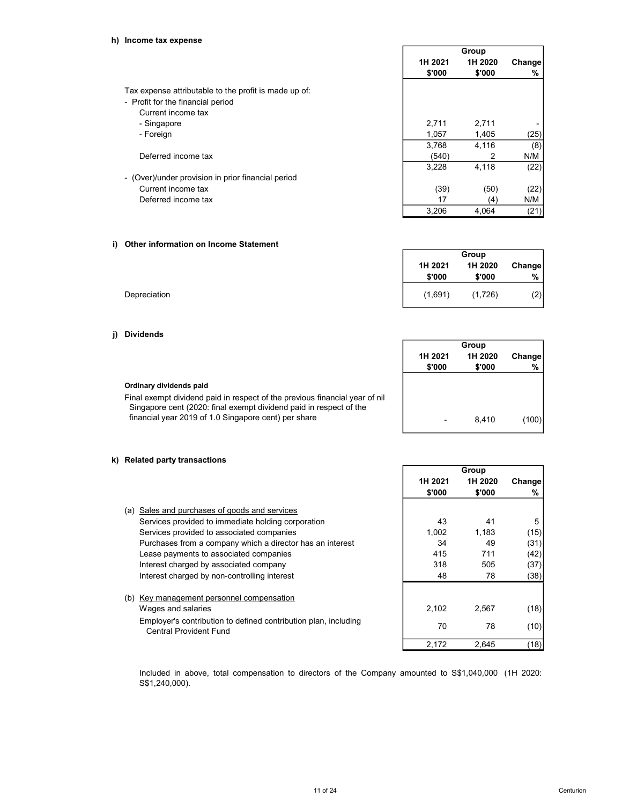# h) Income tax expense

|                                                       |                   | Group             |             |  |
|-------------------------------------------------------|-------------------|-------------------|-------------|--|
|                                                       | 1H 2021<br>\$'000 | 1H 2020<br>\$'000 | Change<br>% |  |
| Tax expense attributable to the profit is made up of: |                   |                   |             |  |
| - Profit for the financial period                     |                   |                   |             |  |
| Current income tax                                    |                   |                   |             |  |
| - Singapore                                           | 2,711             | 2,711             |             |  |
| - Foreign                                             | 1,057             | 1,405             | (25)        |  |
|                                                       | 3.768             | 4.116             | (8)         |  |
| Deferred income tax                                   | (540)             | 2                 | N/M         |  |
|                                                       | 3,228             | 4,118             | (22)        |  |
| - (Over)/under provision in prior financial period    |                   |                   |             |  |
| Current income tax                                    | (39)              | (50)              | (22)        |  |
| Deferred income tax                                   | 17                | (4)               | N/M         |  |
|                                                       | 3.206             | 4.064             | (21)        |  |

# i) Other information on Income Statement

|              | 1H 2021 | 1H 2020 | Change |
|--------------|---------|---------|--------|
|              | \$'000  | \$'000  | %      |
| Depreciation | (1,691) | (1,726) | (2)    |

Group

# j) Dividends

|                                                                                                                                                   | Group   |         |        |
|---------------------------------------------------------------------------------------------------------------------------------------------------|---------|---------|--------|
|                                                                                                                                                   | 1H 2021 | 1H 2020 | Change |
|                                                                                                                                                   | \$'000  | \$'000  | %      |
| Ordinary dividends paid                                                                                                                           |         |         |        |
| Final exempt dividend paid in respect of the previous financial year of nil<br>Singapore cent (2020: final exempt dividend paid in respect of the |         |         |        |
| financial year 2019 of 1.0 Singapore cent) per share                                                                                              |         | 8.410   | (100)  |

# k) Related party transactions

|                                                                                                  |         | Group   |        |
|--------------------------------------------------------------------------------------------------|---------|---------|--------|
|                                                                                                  | 1H 2021 | 1H 2020 | Change |
|                                                                                                  | \$'000  | \$'000  | %      |
| Sales and purchases of goods and services<br>(a)                                                 |         |         |        |
| Services provided to immediate holding corporation                                               | 43      | 41      | 5      |
| Services provided to associated companies                                                        | 1,002   | 1,183   | (15)   |
| Purchases from a company which a director has an interest                                        | 34      | 49      | (31)   |
| Lease payments to associated companies                                                           | 415     | 711     | (42)   |
| Interest charged by associated company                                                           | 318     | 505     | (37)   |
| Interest charged by non-controlling interest                                                     | 48      | 78      | (38)   |
| (b) Key management personnel compensation                                                        |         |         |        |
| Wages and salaries                                                                               | 2,102   | 2,567   | (18)   |
| Employer's contribution to defined contribution plan, including<br><b>Central Provident Fund</b> | 70      | 78      | (10)   |
|                                                                                                  | 2,172   | 2.645   | (18)   |

Included in above, total compensation to directors of the Company amounted to S\$1,040,000 (1H 2020: S\$1,240,000).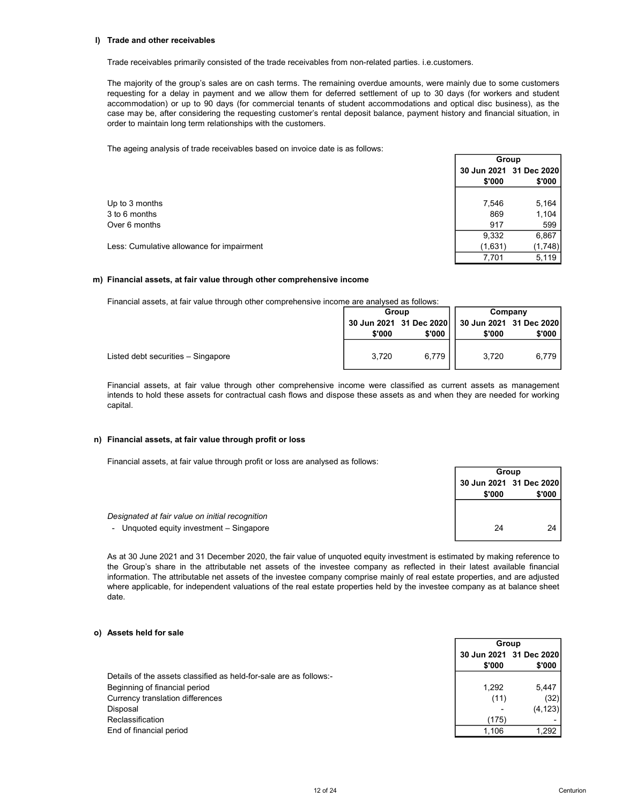### l) Trade and other receivables

Trade receivables primarily consisted of the trade receivables from non-related parties. i.e.customers.

The majority of the group's sales are on cash terms. The remaining overdue amounts, were mainly due to some customers requesting for a delay in payment and we allow them for deferred settlement of up to 30 days (for workers and student accommodation) or up to 90 days (for commercial tenants of student accommodations and optical disc business), as the case may be, after considering the requesting customer's rental deposit balance, payment history and financial situation, in order to maintain long term relationships with the customers.

The ageing analysis of trade receivables based on invoice date is as follows:

|                                           |         | Group                   |
|-------------------------------------------|---------|-------------------------|
|                                           |         | 30 Jun 2021 31 Dec 2020 |
|                                           | \$'000  | \$'000                  |
|                                           |         |                         |
| Up to 3 months                            | 7,546   | 5,164                   |
| 3 to 6 months                             | 869     | 1,104                   |
| Over 6 months                             | 917     | 599                     |
|                                           | 9,332   | 6,867                   |
| Less: Cumulative allowance for impairment | (1,631) | (1,748)                 |
|                                           | 7,701   | 5,119                   |

### m) Financial assets, at fair value through other comprehensive income

Financial assets, at fair value through other comprehensive income are analysed as follows:

|                                    |        | Group  |        | Company |  |  |
|------------------------------------|--------|--------|--------|---------|--|--|
|                                    |        |        |        |         |  |  |
|                                    | \$'000 | \$'000 | \$'000 | \$'000  |  |  |
|                                    |        |        |        |         |  |  |
| Listed debt securities - Singapore | 3,720  | 6,779  | 3.720  | 6.779   |  |  |
|                                    |        |        |        |         |  |  |

Financial assets, at fair value through other comprehensive income were classified as current assets as management intends to hold these assets for contractual cash flows and dispose these assets as and when they are needed for working capital.

# n) Financial assets, at fair value through profit or loss

Designated at fair value on initial recognition - Unquoted equity investment - Singapore

Financial assets, at fair value through profit or loss are analysed as follows:

| Group  |                         |  |  |  |
|--------|-------------------------|--|--|--|
|        | 30 Jun 2021 31 Dec 2020 |  |  |  |
| \$'000 | \$'000                  |  |  |  |
|        |                         |  |  |  |
|        |                         |  |  |  |
| 24     | 24                      |  |  |  |
|        |                         |  |  |  |

 $\overline{C}$ 

As at 30 June 2021 and 31 December 2020, the fair value of unquoted equity investment is estimated by making reference to the Group's share in the attributable net assets of the investee company as reflected in their latest available financial information. The attributable net assets of the investee company comprise mainly of real estate properties, and are adjusted where applicable, for independent valuations of the real estate properties held by the investee company as at balance sheet date.

# o) Assets held for sale

|                                                                    | Group  |                         |
|--------------------------------------------------------------------|--------|-------------------------|
|                                                                    |        | 30 Jun 2021 31 Dec 2020 |
|                                                                    | \$'000 | \$'000                  |
| Details of the assets classified as held-for-sale are as follows:- |        |                         |
| Beginning of financial period                                      | 1.292  | 5.447                   |
| Currency translation differences                                   | (11)   | (32)                    |
| Disposal                                                           |        | (4, 123)                |
| Reclassification                                                   | (175)  |                         |
| End of financial period                                            | 1.106  | 1.292                   |
|                                                                    |        |                         |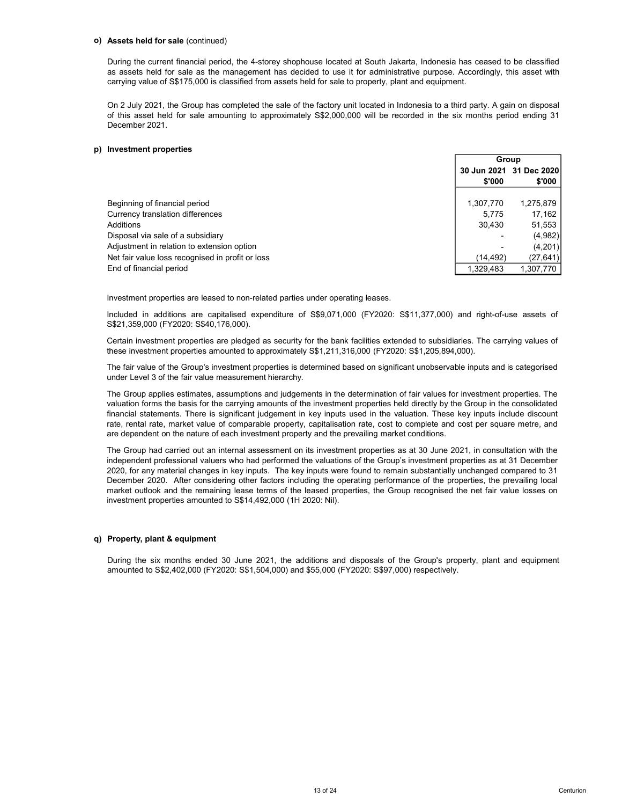### o) Assets held for sale (continued)

### p) Investment properties

| Assets held for sale (continued)                                                                                                                                                                                                                                                                                                                                                                                                                                                                                                                                                                                                                                                                                |                         |           |  |
|-----------------------------------------------------------------------------------------------------------------------------------------------------------------------------------------------------------------------------------------------------------------------------------------------------------------------------------------------------------------------------------------------------------------------------------------------------------------------------------------------------------------------------------------------------------------------------------------------------------------------------------------------------------------------------------------------------------------|-------------------------|-----------|--|
| During the current financial period, the 4-storey shophouse located at South Jakarta, Indonesia has ceased to be classified<br>as assets held for sale as the management has decided to use it for administrative purpose. Accordingly, this asset with<br>carrying value of S\$175,000 is classified from assets held for sale to property, plant and equipment.                                                                                                                                                                                                                                                                                                                                               |                         |           |  |
| On 2 July 2021, the Group has completed the sale of the factory unit located in Indonesia to a third party. A gain on disposal<br>of this asset held for sale amounting to approximately S\$2,000,000 will be recorded in the six months period ending 31<br>December 2021.                                                                                                                                                                                                                                                                                                                                                                                                                                     |                         |           |  |
| Investment properties                                                                                                                                                                                                                                                                                                                                                                                                                                                                                                                                                                                                                                                                                           |                         |           |  |
|                                                                                                                                                                                                                                                                                                                                                                                                                                                                                                                                                                                                                                                                                                                 | Group                   |           |  |
|                                                                                                                                                                                                                                                                                                                                                                                                                                                                                                                                                                                                                                                                                                                 | 30 Jun 2021 31 Dec 2020 |           |  |
|                                                                                                                                                                                                                                                                                                                                                                                                                                                                                                                                                                                                                                                                                                                 | \$'000                  | \$'000    |  |
| Beginning of financial period                                                                                                                                                                                                                                                                                                                                                                                                                                                                                                                                                                                                                                                                                   | 1,307,770               | 1,275,879 |  |
| Currency translation differences                                                                                                                                                                                                                                                                                                                                                                                                                                                                                                                                                                                                                                                                                | 5,775                   | 17,162    |  |
| Additions                                                                                                                                                                                                                                                                                                                                                                                                                                                                                                                                                                                                                                                                                                       | 30,430                  | 51,553    |  |
| Disposal via sale of a subsidiary                                                                                                                                                                                                                                                                                                                                                                                                                                                                                                                                                                                                                                                                               |                         | (4,982)   |  |
| Adjustment in relation to extension option                                                                                                                                                                                                                                                                                                                                                                                                                                                                                                                                                                                                                                                                      |                         | (4,201)   |  |
| Net fair value loss recognised in profit or loss                                                                                                                                                                                                                                                                                                                                                                                                                                                                                                                                                                                                                                                                | (14, 492)               | (27, 641) |  |
| End of financial period                                                                                                                                                                                                                                                                                                                                                                                                                                                                                                                                                                                                                                                                                         | 1,329,483               | 1,307,770 |  |
| Investment properties are leased to non-related parties under operating leases.                                                                                                                                                                                                                                                                                                                                                                                                                                                                                                                                                                                                                                 |                         |           |  |
|                                                                                                                                                                                                                                                                                                                                                                                                                                                                                                                                                                                                                                                                                                                 |                         |           |  |
| Included in additions are capitalised expenditure of S\$9,071,000 (FY2020: S\$11,377,000) and right-of-use assets of<br>S\$21,359,000 (FY2020: S\$40,176,000).                                                                                                                                                                                                                                                                                                                                                                                                                                                                                                                                                  |                         |           |  |
| Certain investment properties are pledged as security for the bank facilities extended to subsidiaries. The carrying values of<br>these investment properties amounted to approximately S\$1,211,316,000 (FY2020: S\$1,205,894,000).                                                                                                                                                                                                                                                                                                                                                                                                                                                                            |                         |           |  |
| The fair value of the Group's investment properties is determined based on significant unobservable inputs and is categorised<br>under Level 3 of the fair value measurement hierarchy.                                                                                                                                                                                                                                                                                                                                                                                                                                                                                                                         |                         |           |  |
| The Group applies estimates, assumptions and judgements in the determination of fair values for investment properties. The<br>valuation forms the basis for the carrying amounts of the investment properties held directly by the Group in the consolidated<br>financial statements. There is significant judgement in key inputs used in the valuation. These key inputs include discount<br>rate, rental rate, market value of comparable property, capitalisation rate, cost to complete and cost per square metre, and<br>are dependent on the nature of each investment property and the prevailing market conditions.                                                                                    |                         |           |  |
| The Group had carried out an internal assessment on its investment properties as at 30 June 2021, in consultation with the<br>independent professional valuers who had performed the valuations of the Group's investment properties as at 31 December<br>2020, for any material changes in key inputs. The key inputs were found to remain substantially unchanged compared to 31<br>December 2020. After considering other factors including the operating performance of the properties, the prevailing local<br>market outlook and the remaining lease terms of the leased properties, the Group recognised the net fair value losses on<br>investment properties amounted to S\$14,492,000 (1H 2020: Nil). |                         |           |  |
| Property, plant & equipment                                                                                                                                                                                                                                                                                                                                                                                                                                                                                                                                                                                                                                                                                     |                         |           |  |

A000018<br>
Analog and the remaining lease terms of the remaining leases.<br>
End of financial period of extension option<br>
Park fair value loss recognised in profit or loss<br>
The remaining leases.<br>
The fair value loss recognised Disposal wis sale of a subsidiary constrained the properties amounted to S14,492,000 (1H 2020: Net all applies the Group's property, plant and equipment<br>
Net/lativ value loss recognised in profit or loss<br>
End of financial

# q) Property, plant & equipment

During the six months ended 30 June 2021, the additions and disposals of the Group's property, plant and equipment amounted to S\$2,402,000 (FY2020: S\$1,504,000) and \$55,000 (FY2020: S\$97,000) respectively.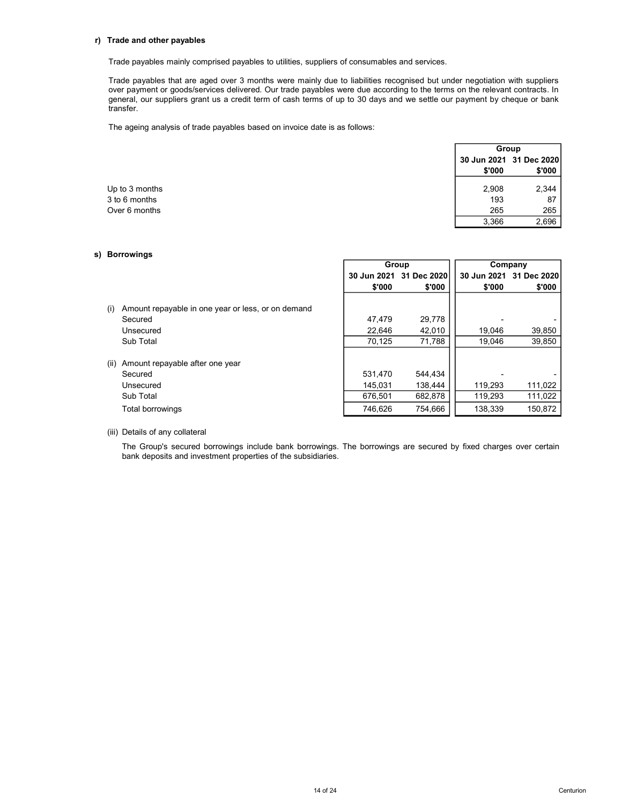# r) Trade and other payables

Trade and other payables<br>Trade payables mainly comprised payables to utilities, suppliers of consumables and services.<br>Trade payables that are aged over 3 months were mainly due to liabilities recognised but under negotiat Trade and other payables<br>Trade payables mainly comprised payables to utilities, suppliers of consumables and services.<br>Trade payables that are aged over 3 months were mainly due to liabilities recognised but under negotiat Trade and other payables<br>
Trade payables mainly comprised payables to utilities, suppliers of consumables and services.<br>
Trade payables that are aged over 3 months were mainly due to liabilities recognised but under negoti Trade and other payables<br>
Trade payables mainly comprised payables to utilities, suppliers of consumables and services.<br>
Trade payables that are aged over 3 months were mainly due to liabilities recognised but under negoti transfer.

| Trade and other payables                                                                                                                                                                                                                                                                                                                                                                         |        |                         |
|--------------------------------------------------------------------------------------------------------------------------------------------------------------------------------------------------------------------------------------------------------------------------------------------------------------------------------------------------------------------------------------------------|--------|-------------------------|
| Trade payables mainly comprised payables to utilities, suppliers of consumables and services.                                                                                                                                                                                                                                                                                                    |        |                         |
| Trade payables that are aged over 3 months were mainly due to liabilities recognised but under negotiation with suppliers<br>over payment or goods/services delivered. Our trade payables were due according to the terms on the relevant contracts. In<br>general, our suppliers grant us a credit term of cash terms of up to 30 days and we settle our payment by cheque or bank<br>transfer. |        |                         |
| The ageing analysis of trade payables based on invoice date is as follows:                                                                                                                                                                                                                                                                                                                       |        |                         |
|                                                                                                                                                                                                                                                                                                                                                                                                  |        | Group                   |
|                                                                                                                                                                                                                                                                                                                                                                                                  |        | 30 Jun 2021 31 Dec 2020 |
|                                                                                                                                                                                                                                                                                                                                                                                                  | \$'000 | \$'000                  |
| Up to 3 months                                                                                                                                                                                                                                                                                                                                                                                   | 2,908  | 2,344                   |
| 3 to 6 months                                                                                                                                                                                                                                                                                                                                                                                    | 193    | 87                      |
| Over 6 months                                                                                                                                                                                                                                                                                                                                                                                    | 265    | 265                     |
|                                                                                                                                                                                                                                                                                                                                                                                                  | 3.366  | 2,696                   |

### s) Borrowings

|      |                                                               |         | Group                   |         | Company                 |
|------|---------------------------------------------------------------|---------|-------------------------|---------|-------------------------|
|      |                                                               |         | 30 Jun 2021 31 Dec 2020 |         | 30 Jun 2021 31 Dec 2020 |
|      |                                                               | \$'000  | \$'000                  | \$'000  | \$'000                  |
| (i)  | Amount repayable in one year or less, or on demand<br>Secured | 47.479  | 29,778                  |         |                         |
|      | Unsecured                                                     |         |                         |         |                         |
|      |                                                               | 22,646  | 42,010                  | 19,046  | 39,850                  |
|      | Sub Total                                                     | 70.125  | 71,788                  | 19.046  | 39,850                  |
| (ii) | Amount repayable after one year<br>Secured                    | 531.470 | 544.434                 |         |                         |
|      | Unsecured                                                     | 145.031 | 138.444                 | 119.293 | 111,022                 |
|      | Sub Total                                                     | 676.501 | 682,878                 | 119,293 | 111,022                 |
|      | Total borrowings                                              | 746.626 | 754.666                 | 138.339 | 150.872                 |

(iii) Details of any collateral

The Group's secured borrowings include bank borrowings. The borrowings are secured by fixed charges over certain bank deposits and investment properties of the subsidiaries.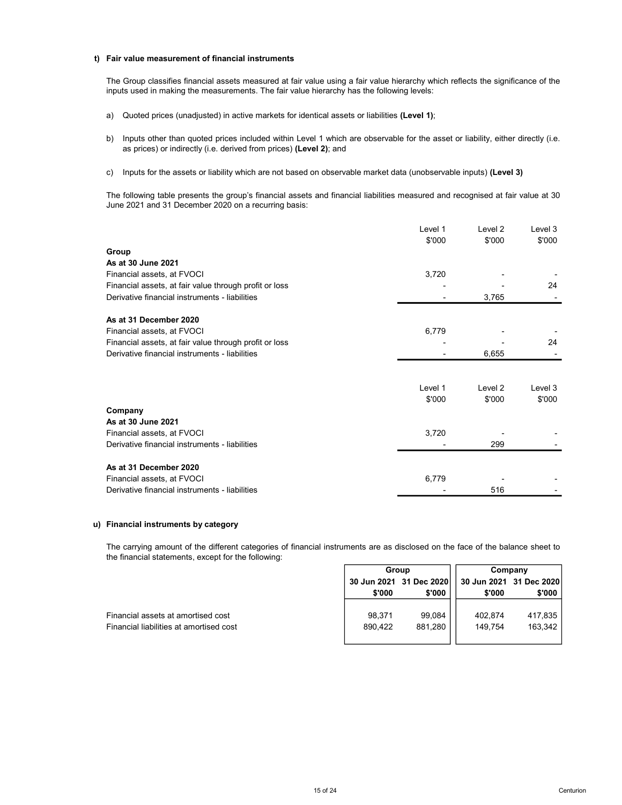### t) Fair value measurement of financial instruments

The Group classifies financial assets measured at fair value using a fair value hierarchy which reflects the significance of the inputs used in making the measurements. The fair value hierarchy has the following levels:

- a) Quoted prices (unadjusted) in active markets for identical assets or liabilities **(Level 1)**;
- b) Inputs other than quoted prices included within Level 1 which are observable for the asset or liability, either directly (i.e. as prices) or indirectly (i.e. derived from prices) (Level 2); and
- c) Inputs for the assets or liability which are not based on observable market data (unobservable inputs) (Level 3)

The following table presents the group's financial assets and financial liabilities measured and recognised at fair value at 30 June 2021 and 31 December 2020 on a recurring basis:

|                                                        | Level 1<br>\$'000 | Level 2<br>\$'000  | Level 3<br>\$'000 |
|--------------------------------------------------------|-------------------|--------------------|-------------------|
| Group                                                  |                   |                    |                   |
| As at 30 June 2021                                     |                   |                    |                   |
| Financial assets, at FVOCI                             | 3,720             |                    |                   |
| Financial assets, at fair value through profit or loss |                   |                    | 24                |
| Derivative financial instruments - liabilities         |                   | 3,765              |                   |
| As at 31 December 2020                                 |                   |                    |                   |
| Financial assets, at FVOCI                             | 6,779             |                    |                   |
| Financial assets, at fair value through profit or loss |                   |                    | 24                |
| Derivative financial instruments - liabilities         |                   | 6,655              |                   |
|                                                        |                   |                    |                   |
|                                                        | Level 1           | Level <sub>2</sub> | Level 3           |
|                                                        | \$'000            | \$'000             | \$'000            |
| Company                                                |                   |                    |                   |
| As at 30 June 2021                                     |                   |                    |                   |
| Financial assets, at FVOCI                             | 3,720             |                    |                   |
| Derivative financial instruments - liabilities         |                   | 299                |                   |
| As at 31 December 2020                                 |                   |                    |                   |
| Financial assets, at FVOCI                             | 6,779             |                    |                   |
| Derivative financial instruments - liabilities         |                   | 516                |                   |

# u) Financial instruments by category

The carrying amount of the different categories of financial instruments are as disclosed on the face of the balance sheet to the financial statements, except for the following:

|                                         | Group   |                         | Company |                         |
|-----------------------------------------|---------|-------------------------|---------|-------------------------|
|                                         |         | 30 Jun 2021 31 Dec 2020 |         | 30 Jun 2021 31 Dec 2020 |
|                                         | \$'000  | \$'000                  | \$'000  | \$'000                  |
|                                         |         |                         |         |                         |
| Financial assets at amortised cost      | 98.371  | 99.084                  | 402.874 | 417,835                 |
| Financial liabilities at amortised cost | 890,422 | 881,280                 | 149.754 | 163,342                 |
|                                         |         |                         |         |                         |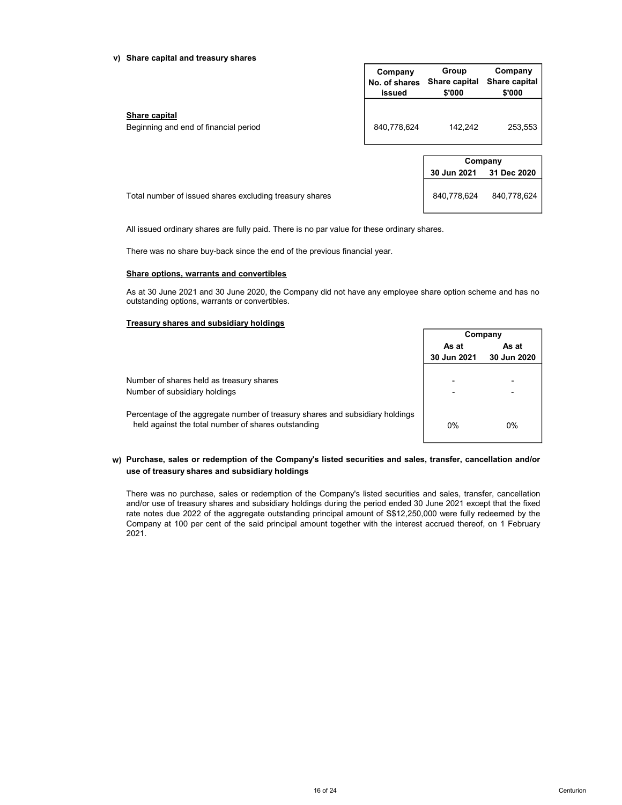### v) Share capital and treasury shares

| Share capital and treasury shares                                                                                                                           |                                    |                                  |                                    |
|-------------------------------------------------------------------------------------------------------------------------------------------------------------|------------------------------------|----------------------------------|------------------------------------|
|                                                                                                                                                             | Company<br>No. of shares<br>issued | Group<br>Share capital<br>\$'000 | Company<br>Share capital<br>\$'000 |
| Share capital<br>Beginning and end of financial period                                                                                                      | 840,778,624                        | 142,242                          | 253,553                            |
|                                                                                                                                                             |                                    |                                  |                                    |
|                                                                                                                                                             |                                    |                                  | Company                            |
|                                                                                                                                                             |                                    | 30 Jun 2021                      | 31 Dec 2020                        |
| Total number of issued shares excluding treasury shares                                                                                                     |                                    | 840,778,624                      | 840,778,624                        |
| All issued ordinary shares are fully paid. There is no par value for these ordinary shares.                                                                 |                                    |                                  |                                    |
| There was no share buy-back since the end of the previous financial year.                                                                                   |                                    |                                  |                                    |
| Share options, warrants and convertibles                                                                                                                    |                                    |                                  |                                    |
| As at 30 June 2021 and 30 June 2020, the Company did not have any employee share option scheme and has no<br>outstanding options, warrants or convertibles. |                                    |                                  |                                    |
| Treasury shares and subsidiary holdings                                                                                                                     |                                    |                                  |                                    |
|                                                                                                                                                             |                                    |                                  | Company                            |
|                                                                                                                                                             |                                    | As at<br>30 Jun 2021             | As at<br>30 Jun 2020               |
|                                                                                                                                                             |                                    |                                  |                                    |

| Company                           |             |  |  |  |  |
|-----------------------------------|-------------|--|--|--|--|
| <b>30 Jun 2021</b><br>31 Dec 2020 |             |  |  |  |  |
| 840,778,624                       | 840,778,624 |  |  |  |  |

# Share options, warrants and convertibles

# Treasury shares and subsidiary holdings

| Company     |             |  |
|-------------|-------------|--|
| As at       | As at       |  |
| 30 Jun 2021 | 30 Jun 2020 |  |
|             |             |  |
|             |             |  |
|             |             |  |
|             |             |  |
| 0%          | 0%          |  |
|             |             |  |

# w) Purchase, sales or redemption of the Company's listed securities and sales, transfer, cancellation and/or use of treasury shares and subsidiary holdings

There was no purchase, sales or redemption of the Company's listed securities and sales, transfer, cancellation and/or use of treasury shares and subsidiary holdings during the period ended 30 June 2021 except that the fixed rate notes due 2022 of the aggregate outstanding principal amount of S\$12,250,000 were fully redeemed by the Company at 100 per cent of the said principal amount together with the interest accrued thereof, on 1 February 2021.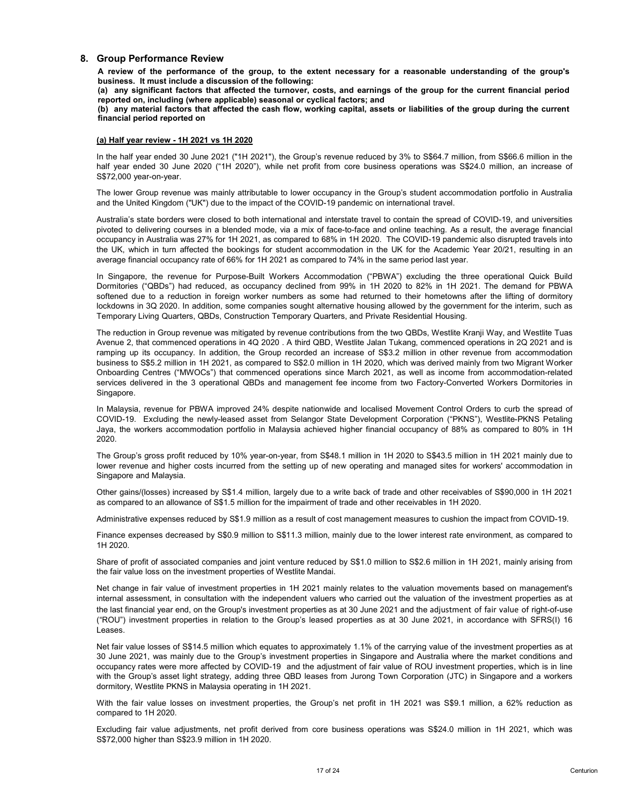# 8. Group Performance Review

Group Performance Review<br>A review of the performance of the group, to the extent necessary for a reasonable understanding of the group's<br>business. It must include a discussion of the following:<br>(a) any significant factors Group Performance Review<br>A review of the performance of the group, to the extent necessary for a reasonable understanding of the group's<br>business. It must include a discussion of the following:<br>reported on, including (wher Group Performance Review<br>A review of the performance of the group, to the extent necessary for a reasonable understanding of the group's<br>business. It must include a discussion of the following:<br>(a) any significant factors Group Performance Review<br>A review of the performance of the group, to the extent necessary for a reasonable understanding of the group's<br>business. It must includie a discussion of the following:<br>reported on, including (wh

Group Performance Review<br>A review of the performance of the group, to the extent necessary for a reasonable understanding of the group's<br>business. It must include a discussion of the following:<br>(a) any significant factors Group Performance Review<br>A review of the performance of the group, to the extent necessary for a reasonable understanding of the<br>business. It must include a discussion of the following:<br>(a) any significant factors that aff Group Performance Review<br>
A review of the performance of the group, to the extent necessary for a reasonable understanding of the group's<br>
business. It must include a discussion of the following:<br>
(a) any significant fact Group Performance Review<br>
A review of the performance of the group, to the extent necessary for a reasonable understanding of the group's<br>
business, it must include a discussion of the following:<br>
(a) any significant facto **Group Performance Review**<br>A review of the performance of the group, to the extent necessary for a reasonable understanding of the group's<br>business. It must including (where applicable) seasonal or cyclical factors; and<br>re **Group Performance Review**<br>A review of the performance of the group, to the extent necessary for a reasonable und<br>business. It must include a discussion of the following:<br>(a) any significant factors that affected the turn

Group Performance Review<br>A review of the performance of the group, to the extent necessary for a reasonable understanding of the group's<br>business. It must include a discussion of the following:<br>
(a) any significant factor Group Performance Review<br>A review of the performance of the group, to the extent necessary for a reasonable understanding of the group's<br>business. It must include a discussion of the following:<br>(a) any significant factors Group Performance Review<br>A review of the performance of the group, to the extent necessary for a reasonable understanding of the group's<br>Naivay significant factors that affected the turbuney costs, and annings of the grou **Group Performance Review**<br>A review of the protonnance of the group, to the extent necessary for a reasonable understanding of the group's<br>A review of the performance of the filested the turnover, costs, and earnings of t Group Performance Review<br>A review of the proton ance of the group, to the extent necessary for a reasonable understanding of the group's<br>A review of the performance of the formular charge of the group for the current fina Group Performance Review<br>A review of the protonnance of the group, to the extent necessary for a reasonable understanding of the group's<br>A review of the performance of the following:<br>
(a) any significant factors that affe

**Group Performance Review**<br>A review of the protonness of the group, to the extent necessary for a reasonable understanding of the group's<br>A review of the performance of 66 the different the forest and earnings of the grou **Group Performance Review**<br>A review of the performance of the group, to the extent necessary for a reasonable understanding of the group's<br>business. It must include a discussion of the following:<br>
(a) any significant fact Group Performance Review<br>A review of the protomance of the group, to the extent necessary for a reasonable understanding of the group's<br>A review of the performance of the different different control control control control **Group Performance Review**<br>A review of the performance of the group, to the extent necessary for a reasonable understanding of the group's<br>business. It must include a discussion of the following:<br>Compared on, including wh **Group Performance Review**<br>A review of the performance of the group, to the extent necessary for a reasonable understanding of the group's<br>A network of the performance of the following costs, and samings of the group for t

Group Performance Review<br>A review of the protomate of the group, to the octent necessary for a reasonable understanding of the group's<br>A review of the proformance of the defined the surrower, costs, and sarnings of the gro A retrieve of the performance of the group, to the extends the reduction in Group is the property of the group for the group of the group for the group for the group for the current financial period (a) any significant fac business. It must including define the following:<br>
(a) any significant factors that affected the turnovir, costs, and earnings of the group for the current financial period<br>
(b) any material factors that affected the turno (a) any significations that differed to the universe; costs, and earnings of the group for the current financial period (b) any material factors that affected the crass flow, working capital, assets or liabilities of the reported on, including (where applicable) seasonal or cyclical factors; and<br>the mandal period of period of the case of the case of the million in the million in the million in the case of the group during the case of the g (b) any material factors that affected the cash flow, working capital, assets or liabilities of the group during the current<br>
(a) Half year review - 1H 2021 vs 1H 2022<br>
(heliabilityear ended 30 June 2020 (\*1H 2020\*), the G financial period reported on<br>
(in the half year review - 1H 2021 vs 1H 2022)<br>
(in the half year ended 30 June 2021 (\*1H 2020\*), the Group's revenue reduced by 3% to S\$64.7 million, form S\$66.6 million in the<br>
half half yea Singapore. In the half year ended 30 June 2021; (1H 2021?), the Group's revenue reduced by 3% to \$\$84.7 million, from S\$66.6 million in the half year ended 30 June 2020 (1H 2020?), while net profit from core business operators was \$\$ In the half year ended 30.0 June 2022 (1+1 2022), the Groups revenue reduced by 3% to 58%47 million, in m S666 and million in the specific state Development Corporation and the United Nington Theorem Selangor and the Unite half wear ended to June 2020 (\*IH 2020), while net profit from core business operations was \$\$24.0 million, an increase of<br>S\$72.000 year-on-year.<br>The lower Brounds was mainly altholdable to lower cocopancy in the Group's s The Grown Errowine was mainly attitutaties to look mone cocupany in the Group's atudent accompany in the System of the CoVID-19 pandemic on international travel.<br>Australia's state botted by the first reduced to both intern and the United Kingdom ("UK") due to the impact of the COVID-19 pandemic on international trevel to contain the setted of COVID-19, and universities probable to state include the setting probable to the setting corresponde Australia's state borders were closed to both international and interstate travel to contain the spread of CO<br>photed to delivering course in a blended mode, via a mix of face-to-face and online teaching. As a resume<br>proced pivoted to delivering courtes in a blended mode, via a mix of face-to-face and othine teaching. As a result, the average financial population of the experimental the experimental the experimental three than turn affected t accomency in Australia was 27% for H1 2021, as compared to 68% in H1 2020. The COVID-19 pandemic also disrupted travels in the impairment of the internet internet and pandemic state of the internet internet in the impairme average financial occupancy rate of 66% for 1H 2021 as compared to 74% in the same period last year.<br>In Singapore, the revenue for Purpose-BMill Workers Accommodation ("PBWAY) excluding the three operational Quick Build<br>Do In Singapore, the revenue for Purpose-Built Workers Accommodation ("PBWA) excluding the three operational Quick Build Decreased decreased by S\$1.9 million to S\$11.3 million to S\$11.3 million to S\$11.9 million to S\$1.9 mill nomitories ("GBDs") had reduced, as occupancy declined from 99% in 1H 2020 to 82% in<br>Domittories ("GBDs") had reduced, as occupancy declined from 99% in 1H 2020 to 82% in<br>Society and the load reduced in foreign worker numb shifted doe to a reduced non foreign worker numbers as some had returned to the nonmetowns allter the million of companying the profit of associated companying the million of a reduced by the intermediate the million to th nocktowns in 32 cz202. In accion, some companes sought attentive housing allowed by the government to the interesting in the interesting in the interesting in the interesting in the interesting in the interesting in the in The reduction in Group revenue was miligated by revenue contributions from the two QBDs, Westlite Kranji Way, and Westlite Tusts<br>Westme 2, that sommerted ye nations "Ho 2000", excepted by the reside and a Siz 2 mail on man internal assessment in coup in even methods by the endomediation with the works. Juestice Manyi way, an experiment the internal assessment of the internal assessment of the internal assessment of the internal assessment of Neurla 2, and Normancial years financial year environmental properties in and Advisor and the User and Normancial year environmental years of the Stationary and the Group's investment properties and the advisor in the Grou

2020.

(all plug to the Crossing of the Crossing of the Crossing context and the Crossing interactions in relation to the Crossing properties in the Group's and the Crossing Context and the Group's level and the Section of the Se Leases. services delivered in the 3 operational QBDs and management fee income from two Factory-Converted Workers Domittions in Malaysia, revenue of FPMW improved 24% despite and coalised Movement Control Orders to curb the spead Singapore.<br>In Malaysia, revenue for PBWA improved 24% despite nationwide and localised Movement Control Orders to curb the specal of COVD-19.<br>Jaya, he workers accommodation potentions has a from Selato Phete Development Co In Malaysia, rovenus for PBWA improved 24% despte nationwide and focalised Movement Contors to curb the superad of DCMW. The Group's resulting the adjustment Contors to curb the superador (COVID-19. The Group's gross profi in Normal assessment in consultation with the independent was a local movement Corporation (TWMS), Westlite-PASS Passing<br>To OND the Scalar of Ferman Movement and temperature and beneficient Corporation (TWMS), Westlite-PAS Covid-12 — Extualing the interpretension assess that necessibly, the Group's restanting to the comparison of the SVMS in the SVMS in the DVMS in the DVMS in the DVMS in the DVMS in the DVMS in the DVMS in the setting up of 2020.<br>With Group's gross profit reduced by 10% year-on-year, from \$348.1 million in 1H 2020 to \$34.3.5 million in 1H 2021 mainly due to<br>lower revenue and higher costs incurred from the setting up of new operating and manag The Group's gross profit reduced by 10% year-on-year, from \$\$4.8.1 million in 1H 2020 to \$\$43.5 million in Singspore and Malpher costs incurred from the setting up of new operating and managed sites for work<br>Singspore and lower revenue and higher ocels incurred from the selting up of new operating and managed sites for workers' eccommodation in Singapore and Maleysia, the core gainst from core gains as compared to an allowance of S\$1.4 mill Singapore and Malaysia.<br>
Singapore and Malaysia<br>
other gains (losses) increased by \$81.4 million, largely due to a witle back of trade and other receivables of \$980,000 in 1H 2021<br>
other gains (losses) increases reduced by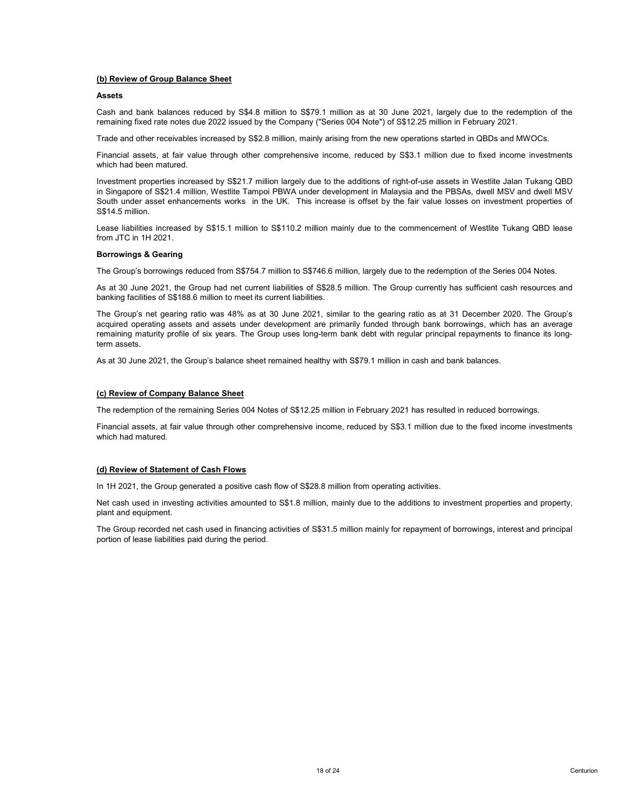### Assets **Assets**

(b) Review of Group Balance Sheet<br>Assets<br>Cash and bank balances reduced by S\$4.8 million to S\$79.1 million as at 30 June 2021, largely due to the redemptio<br>remaining fixed rate notes due 2022 issued by the Company ("Series (b) Review of Group Balance Sheet<br>Assets<br>Cash and bank balances reduced by S\$4.8 million to S\$79.1 million as at 30 June 2021, largely due to the redemption of the<br>remaining fixed rate notes due 2022 issued by the Company (b) Review of Group Balance Sheet<br>Assets<br>Cash and bank balances reduced by S\$4.8 million to S\$79.1 million as at 30 June 2021, largely due to the redemption of the<br>remaining fixed rate notes due 2022 issued by the Company

(b) Review of Group Balance Sheet<br>Assets<br>Cash and bank balances reduced by S\$4.8 million to S\$79.1 million as at 30 June 2021, largely due to the redemption of the<br>Framining fixed rate notes due 2022 issued by the Company (b) Review of Group Balance Sheet<br>Assets<br>Cash and bank balances reduced by S\$4.8 million to S\$79.1 million as at 30 June 2021, largely due to the redemption of the<br>Cash and bank balances reduced by S\$2.8 million, mainly ar (b) Review of Group Balance Sheet<br>
Assets<br>
Cash and bank balances reduced by S\$4.8 million to S\$79.1 million as at 30 June 2021, largely due to<br>
remaining fixed rate notes due 2022 issued by the Company ("Series 004 Note") (b) Review of Group Balance Sheet<br>Assets<br>Cash and bank balances reduced by S\$4.8 million to S\$79.1 million as at 30 June 2021, largely due to the redemption of the<br>remaining fixed rate notes due 2022 issued by the Company **iD) Review of Group Balance Sheet**<br>Cash and bank balances reduced by \$\$4.8 million to \$\$79.1 million as at 30 June 2021, largely due to the redemption of the<br>remaining fixed rate notes due 2022 issued by the Company ("Ser (b) Review of Group Balance Sheet<br>Assets<br>Cash and bank balances reduced by SS4.8 million to S\$79.1 million as at 30 June 2021, largely due to the redemption of the<br>remaining fixed rate rotes due 2022 issued by the Company (b) Review of Group Balance Sheet<br>
Assets<br>
Cash and bank balances reduced by S\$4.8 million to S\$79.1 million as at 30 June 2021, larget<br>
Cash and bank balances reduced by S\$4.8 million to S\$79.1 million as at 30 June 2021, (b) Review of Group Balances reduced by S\$4.8 million to S\$79.1 million as at 30 June 2021, largely due to the redemption of the Cash and thank balances reduced by S\$2.8 million, to S\$70.1 million as at 30 June 2021, large (b) Review of Group Balance Sheet<br>Assets<br>Cash and bank balances reduced by S\$4.8 million to S\$79.1 million as at 30 June 2021, largely due t<br>Cash and bank balances reduced by S\$4.8 million to S\$79.1 million as at 30 June 2 (b) Review of Group Balance Sheet<br>Assets<br>Cash and bank balances reduced by S\$4.8 million to S\$79.1 million as at 30 June 2021, largely due t<br>Cash and bank balances reduced by S\$4.8 million to S\$79.1 million as at 30 June 2 The Group Balance sheet<br>
Assets<br>
Cash and bank balances reduced by S\$4.8 million to S379.1 million as at 30 June 2021. largely due to the redemption of the<br>
remaining fixed rate notes due 2022 issued by the Company ("Serie

(b) Review of Group Balance Sheet<br>Assets<br>Assets<br>Assets<br>To and bank balances reduced by S\$4.8 million to S379.1 million as at 30 June 2021, largely due to the redemption of the<br>Firancial tassets, at fair value through other **(b) Review of Group Balance Sheet**<br>Assets<br>Cash and bank balances reduced by S\$4.8 million to S379.1 million as at 30 June 2021, largely due to the redemption of the<br>cremaining floof rate notion due 2022 issued by the Comp (b) Review of Group Balance Sheet<br>Cash and bank balances reduced by S\$4.8 million to S379.1 million as at 30 June 2021, largely due to the redemption of the<br>cash and bank balances reduced by S\$4.8 million, mainly arising f (b) Review of Group Balance Sheet<br>Assets<br>Ccan and bank balances reduced by S\$4.8 million to S379.1 million as at 30 June 2021. largely due to the redemption of the<br>remaining fixed rate notes due 2022 issued by the Company (b) Review of Group Balance Sheet<br>Assets<br>Scash and bank balances reduced by S\$4.8 million to S379.1 million as at 30 June 2021, largely due to the redemption of the<br>Cream and plant dear necessariles increased by S\$2.8 mill (b) Review of Group Balance Sheet<br>Assets<br>Cash and bank balances reduced by S\$4.8 million to S\$79.1 million as at 30 June 2021, large<br>maining fixed rate notes due 2022 issued by the Company ("Series 004 Note") of S\$12.25 mi Assets<br>Cash and bank balances reduced by S\$4.8 million to S379.1 million as at 30 June 2021, largely due to the redemption of the<br>remaining fixed rate noise due 2022 issued by the Company ("Series 004 Note)" of S\$12.25 mil Trade and other receivables increased by S\$2.8 million, mainly arising from the new operations started in QBDs and MWOCs.<br>Financial assets, at fair value through other comprehensive income, reduced by S\$3.1 million due to Financial assets, at fair value through other comprehensive income, reduced by S\$3.1 million due to fixed income investments which had been mantined.<br>Investment properties increased by S\$21.7 million largely due to the add which had been matured toreased by \$\$21.7 million largely due to the additions of right-of-use assets in Westlite Jalan Tukang OBD<br>Investment properties increased by \$\$21.7 million largely due to the additions of right-of-Investment properties increased by \$\$21.7 million largely due to the additions of right-of-use assets in Singapore of \$221.4 million, Westlite Tampoi PBWA under devicoment in Malayisia and the PBSA<br>South under asset entanc CSTATION THE TREAT THE STATE INTERTMATIVE THE STATE IS THE STATE OF THE STATE IS THE STATE IS THE STATE IS THE STATE IS THE STATE IS THE STATE IS THE STATE IS THE STATE IS THE STATE IS THE STATE IS THE STATE IS THE STATE I Lease liabilities increased by S\$15.1 million to S\$110.2 million mainly due to the commencement of Westlite Tukang QBD lease<br>Borrowings & Gearing<br>The Group's borrowings reduced from S8754.7 million to S\$28.8 million, large If On TH 2021, the Group and a both the meaning activities and S\$2.48.6 million, largely due to the redemption of the Series 004 Notes.<br>The Group's borrowings reduced from S\$754.7 million to S\$74.6.6 million, largely due t **Borrowings & Gearing**<br>The Group's borrowings reduced from S\$754.7 million to S\$746.6 million, largely due to the redemption<br>As at 30 June 2021, the Group had net current liabilities of \$5.25.5 million. The Group currently The Group's borrowings reduced from S3754.7 million to S\$746.6 million, largely doe to the redemption of the Series 004 Notes.<br>As at 30 June 2021, the Group had net current liabilities of S\$22.5 million. The Group currentl mo cockey solventrage locucion of locucions of the Control of the Control manning of the Control manning of the Control manning of the Control manning of the Control manning facilities of S\$28.5 million. The Group currentl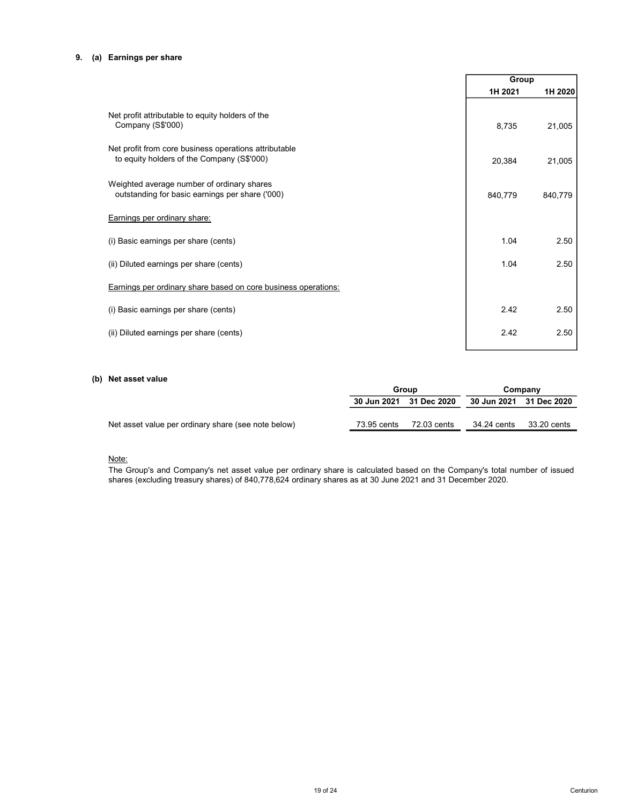# 9. (a) Earnings per share

|                                                                                                                                                                                                                                                 |                         |             |             | Group                   |  |
|-------------------------------------------------------------------------------------------------------------------------------------------------------------------------------------------------------------------------------------------------|-------------------------|-------------|-------------|-------------------------|--|
|                                                                                                                                                                                                                                                 |                         |             | 1H 2021     | 1H 2020                 |  |
| Net profit attributable to equity holders of the<br>Company (S\$'000)                                                                                                                                                                           |                         |             | 8,735       | 21,005                  |  |
| Net profit from core business operations attributable<br>to equity holders of the Company (S\$'000)                                                                                                                                             |                         |             | 20,384      | 21,005                  |  |
| Weighted average number of ordinary shares<br>outstanding for basic earnings per share ('000)                                                                                                                                                   |                         |             | 840,779     | 840,779                 |  |
| Earnings per ordinary share:                                                                                                                                                                                                                    |                         |             |             |                         |  |
| (i) Basic earnings per share (cents)                                                                                                                                                                                                            |                         |             | 1.04        | 2.50                    |  |
| (ii) Diluted earnings per share (cents)                                                                                                                                                                                                         |                         |             | 1.04        | 2.50                    |  |
| Earnings per ordinary share based on core business operations:                                                                                                                                                                                  |                         |             |             |                         |  |
| (i) Basic earnings per share (cents)                                                                                                                                                                                                            |                         |             | 2.42        | 2.50                    |  |
| (ii) Diluted earnings per share (cents)                                                                                                                                                                                                         |                         |             | 2.42        | 2.50                    |  |
|                                                                                                                                                                                                                                                 |                         |             |             |                         |  |
| Net asset value                                                                                                                                                                                                                                 | Group                   |             |             | Company                 |  |
|                                                                                                                                                                                                                                                 | 30 Jun 2021 31 Dec 2020 |             |             | 30 Jun 2021 31 Dec 2020 |  |
| Net asset value per ordinary share (see note below)                                                                                                                                                                                             | 73.95 cents             | 72.03 cents | 34.24 cents | 33.20 cents             |  |
| Note:<br>The Group's and Company's net asset value per ordinary share is calculated based on the Company's total number of issued<br>shares (excluding treasury shares) of 840,778,624 ordinary shares as at 30 June 2021 and 31 December 2020. |                         |             |             |                         |  |

# (b) Net asset value

|                                                     |                         | Group       | Company                 |             |
|-----------------------------------------------------|-------------------------|-------------|-------------------------|-------------|
|                                                     | 30 Jun 2021 31 Dec 2020 |             | 30 Jun 2021 31 Dec 2020 |             |
|                                                     |                         |             |                         |             |
| Net asset value per ordinary share (see note below) | 73.95 cents             | 72.03 cents | 34.24 cents             | 33.20 cents |

# Note: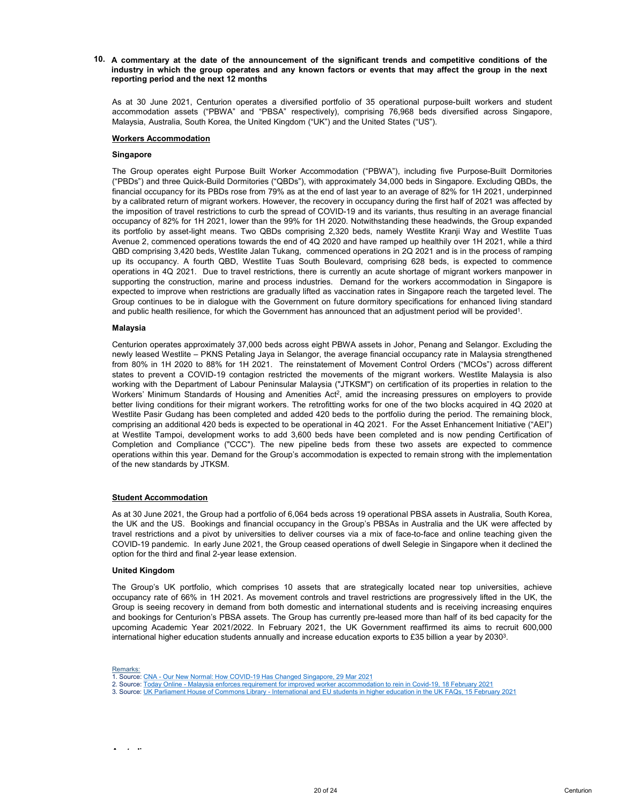10. A commentary at the date of the announcement of the significant trends and competitive conditions of the<br>industry in which the group operates and any known factors or events that may affect the group in the next<br>repor A commentary at the date of the announcement of the significant trends and competitive conditions of the<br>industry in which the group operates and any known factors or events that may affect the group in the next<br>reporting A commentary at the date of the announcement of the significant trends and competitive conditions of the<br>industry in which the group operates and any known factors or events that may affect the group in the next<br>reporting A commentary at the date of the announcement of the significant trends and competitive conditions of the industry in which the group operates and any known factors or events that may affect the group in the next reporting A commentary at the date of the announcement of the significant trends and competitive conditions of the<br>industry in which the group operates and any known factors or events that may affect the group in the next<br>As at 30 J A commentary at the date of the announcement of the significant trends and competitive conditions of the<br>industry in which the group operates and any known factors or events that may affect the group in the next<br>reporting

### Singapore

A commentary at the date of the announcement of the significant trends and competitive<br>
A commentary in which the group operates and any known factors or events that may affect the greporting period and the next 12 months<br> A commentary at the date of the announcement of the significant trends and competitive conditions of the<br>Industry in which the group operates and any known factors or events that may affect the group in the next<br>reporting A commentary at the date of the announcement of the significant trends and competitive conditions of the<br>Industry in which the group operates and any known factors or events that may affect the group in the next<br>reporting A commentary at the date of the announcement of the significant trends and competitive conditions of the<br>motatry in which the group operates and any known factors or events that may affect the group in the next<br>exporting p A commentary at the date of the announcement of the significant trends and competitive conditions of the<br>Industry in which the group operates and any known factors or events that may affect the group in the next<br>responsing A commentary at the date of the announcement of the significant trends and competitive conditions of the<br>mdustry in which the group operates and any known factors or events that may affect the group in the next<br>exponenting A commentary at the date of the announcement of the significant trends and competitive conditions of the direction properting period and the group constras and strong the product of an expanded portfolio of 35 operational **A commentary at the date of the announcement of the significant trends and competitive conditions of the inductry in which the group operators and any known factors or events that may affect the group in the next reportin** A commentary at the date of the announcement of the significant trends and competitive conditions of the incorporation provides the end any known factors or events that may affect the group in the next eporation projection A commentary at the date of the announcement of the significant trends and competitive conditions of the induction in which the group operations and the proporting period and the provisions and subsets and subsets are expe A commentary at the date of the announcement of the significant trends and competitive conditions of the indepty in which the group in practes and any known factors or events that may affect the group in the next respectiv A commentary at the date of the announcement of the significent trends and competitive conditions of the indetery in which the group operation and any known factors or events that may affect the group in the next experime A commentary at the date of the announcement of the significant trends and competitive conditions of the motions of the motions of the construction, marine and process in a marine motion and the motion and the motion and t A commentary at the date of the announcement of the significant trends and competitive conditions of the mediatory in which the group operates are gradual spectral as vaccination represents that may affect the group in the A commentary at the date of the announcement of the significant trends and competitive conditions of the model<br>motivary in which the group operates and any known factors or events that may affect the group in the next<br>As a A commentary at the date of the announcement of the significant trends and competitive conditions of the depotition provides and any known factors or events that may affect the group in the next<br>respecting period and the p . reporting penod and the next 12 months<br>As at 30 June 2021, Centurion operates a diversified portfolio of 35 operational purpose-built workers and student<br>accommodation assets ("PBWA" and "PBSA" respectively), comprising 76 As at 30 June 2021. Centurion operates a diversified portfolio of 35 operational purpose-built workers and student<br>accommodation assets ("PBWA", and "PBSA" respectively), compraising 76,868 beats diversified across Singapo As a 30 June 2021. Communion persistes a diversified persion of 35 operational purpose-built workers and student a<br>Successive Commodation assets ("PBWA" and "PBSA" respectively), comprising 76.968 beds diversified across S accommodation assets (PBNW-1 and "PBSA" respectively), comprising 76,968 bests diversified across Singapore,<br>Malaysia, Australia, South Korea, the United Kingdom ("UK") and the United States ("US").<br>
Workers Accommodation<br> Malaysia, Australia, South Korea, the United Kingdom ("UK") and the United States ("US").<br>Workers Accommodation<br>
Singspore<br>
The Group operatios (girlt Purpose Built Worker Accommodation ("PBWA"), including five Purpose-Bui Workers Accommodation<br>
Singapore<br>
Singapore Singapore Singai Worker Accommodation ("PBWA"), including five Purose-Built Domitoire<br>
("RBCs"), order was Common Singapore Singai Domitoire ("CBDa"), with an only and Amenities lation ("PBWA"), including five Purpose-Built Dormitories<br>rotximately 34,000 bels in Singapore. Excluding QBDs, the<br>If last year to an average of 82% for 1H 2021 underpinned<br>yin occupancy during the first half of 2021 was **Notices According conditions for the Communited States according to Propose-Built Domitions for the Computer The Group operations of the Computer CRD of the Computer CRD of the Computer of the Computer of the Computer of** Singapore<br>
The Group operates eight Purpose Built Worker Accommodation ("PBWA"), including five Duripose-Built Domitories<br>
("PBDs") and three Quick-Build Domitories ("QSDs"), with approximately 34,000 beds in Singapore. Ex compression eigentif Purpose Built Worker Accommodation ("PBWA"), including five Purpose-Built Domitionis (1980") and three Quick-Build Domitions ("QBDs"), with approximately 34, 000 beds in Singapoo. Excluding QBDs, the A The Group operation is the tyropes built Worker Accommodation ("PBNW), including the Purpose-Built Dominores During the Society of High Version of the Society of High Version of the Society of Sector High Version of the So (PBDs<sup>2</sup>) and three Quick-Build Dormitoires ("QBDs<sup>2</sup>), with approximately 34,000 beds in Singapore. Excluding QBDs, the new pipeline beds from the new pipeline beds from the new pipeline of the new pipeline of the new pi

## Malaysia

If mandied coupancy for the PBDs recent form 79% as at the end of tast year to an avevage of 82% for 1H 2021, underpined to compense the end of this year. In a wearance of competent of the chemical of the mposition of the by a calibrated return of migrant workers. However, the recovery in occurancy during the first half of 2021 was affect the cocouparoty in the spead of COVID-19 and its variants, thus resulting in an average find<br>the imposi Its portnölo by asset-light means: We QEUS compressing (2.32) bees, namely westlite Krahil Way and<br>Ayenue 2, commenced operations towards the end of 4Q 2020 and have ramped up healthilly over 1<br>QBD comprising 3.420 beds, W QBD completing 4.202 beds, Westlie Jank Tukeng . commenced operations in 20 2021 and is in the process of ramping<br>up its occupancy. A fourth CBD, Westlie Jians South Beolevard, comprising 628 beds, is expected to commence<br> up its occupancy. A fourth GBD, Westlie Tuas South Boulevard, comptising 628 best, is expected to commence appearing in the operator of the workers and process induction, then an content of the workers and proporting the c operations in 4Q 2021. Due to travel restrictions, there is currently an acute shortepe of migrany workers manpower in<br>supporting the construction, marine and process industries. Demand for the workers accommodation in Sin supporting the construction, marine and process industries. Demand for the workers accommodation in Singapore is the maispace is the main of the main of the main of the main of the main of the main of the main of the main expected to improve when restrictions are gradually lifted as vaccination rates in Singapore reach the targeted level. The Government of thus the single power that the target level. The Government and anounced that an adju ondy bits. heather to entire accept that in Communited Samplet and public health resilience, for which the Government has amounced that an adjustment period will<br>alarysia and public health resilience, for which the Governm Malaysia<br>
Malaysia coefficion perades approximately 37,000 beds arcoss eight PBWA assets in Johor, Penang and Selangor. Excluding the<br>
Derivative Section - FKNS Petaling Jaya in Selangor. the average financial occupancy ra occupancies approximately 37,000 beds across eight PBWA assets in Johor, Penang and Selangor, Excluding the Central controls Penangor, the average framcela occupancy rate in Malaysia strephene frequency in the CHOL is cons Centurion operates approximately 37,000 besis to retoring the BWM asses in Johor, Penang and Selangor. Excluding the security in the 2020. The relationship predict and Selangor. Excluding the security of the minister cont newly leasted Westlite = PKNS Petaling Japa in Selangor, the average financial occupancy rate in Malaysia sterepthenes to the westling interact works we state that the matter of the matter of the matter works we state than from 60% in 1H 2020 to 88% for the 2021. The reinstantened C Movement Control Orients (NACos)' accoss different C Maximum Standards (THCM) on the microstropy of the properties of the properties and the properties weaken wi states to prevent a COVID-19 contagion restricted the movements of the inigrary working with the Department of Lebeury Fouriers' Minimum Standards of Hossingin and America Chrometers' Minimum Standards of Hossingin and Ame Westlite Paisi Gudang has been completed and added 420 beds to the portfolio during the period. The meaning block, the Source: The Asset Enhancement Initiative (AEI) completion and Completion 420 beds is expected to be ope

. comprising an additional 420 bests is expected to be operational n 40 2221. For the Asset Enhancement Instate Parks (AET)<br>at Westlite Tampol, development works to add 3,600 beds have been completed and is now pending Certi Source: UK Parliament And the Source: UK Parliament House of UK Parliament House of Commonstration in the American Commonstration in the Component West Development West Development with the Development House of Commonstrat

Remarks:<br>1. Source: CNA - Our New Normal: How COVID-19 Has Changed Singapore, 29 Mar 2021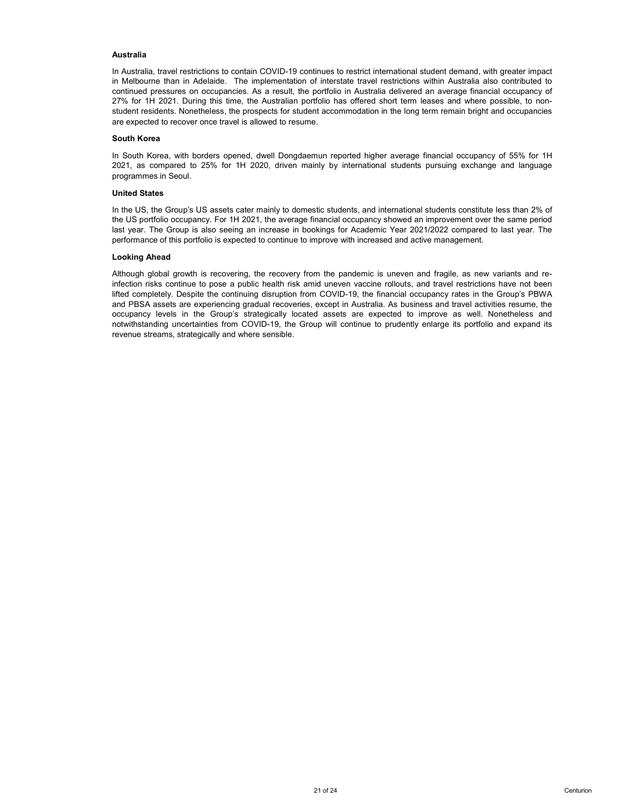# Australia

Australia<br>In Australia, travel restrictions to contain COVID-19 continues to restrict international student demand, with greater impact<br>in Melbourne than in Adelaide. The implementation of interstate travel restrictions wi Australia<br>In Australia, travel restrictions to contain COVID-19 continues to restrict international student demand, with greater impact<br>in Melbourne than in Adelaide. The implementation of interstate travel restrictions wi **Australia**<br>In Australia, travel restrictions to contain COVID-19 continues to restrict international student demand, with greater impact<br>in Melbourne than in Adelaide. The implementation of interstate travel restrictions **Australia**<br>
In Australia, travel restrictions to contain COVID-19 continues to restrict international student demand, with greater impact<br>
in Melbourne than in Adelaide. The implementation of interstate travel restriction **Australia**<br>In Australia, travel restrictions to contain COVID-19 continues to restrict international student demand, with greater impact<br>In Melbourne than in Adelaide. The implementation of interstate travel restrictions **Australia**<br>
In Australia, travel restrictions to contain COVID-19 continues to restrict international student demand, with greater impact<br>
in Melbourne than in Adelaide. The implementation of interstate travel restriction **Australia**<br>
In Australia<br>
In Australia, travel restrictions to contain COVID-19 continues to restrict international student demain<br>
Melbourne than in Adelaide. The implementation of interstate travel restrictions within A **Australia**<br>In Meltbourne than in Adelaide. The implementation of interstate travel restrictions within Australia also contributed to<br>in Melbourne than in Adelaide. The implementation of interstate travel restrictions with Australia<br>2021, and the method of the control of the method of interactions within Australia also contributed to<br>2021, in Muslim and pressures on occupancies. As a result, the portfolio in Australia elisivered an average f **Australia**<br>
In Australia, travel restrictions to contain COVID-19 continues to restrict international student demand, with<br>
In Melbourne than in Adelaide. The implementation of interstate travel restrictions within Austra Australia<br>
In Australia<br>
In Mustralia, travel restrictions to contain COVID-19 continues to restrict international student demar<br>
In Melbourne than in Adelaide. The implementation of interstate travel restrictions within A **Australia**<br>In Australia, travel restrictions to contain COVID-19 continues to restrict international student demand, with greater impact<br>In Melbourne fina in Adelaide. The implementation of interstate travel restrictions Australia<br>
In Australia, travel restrictions to contain COVID-19 continues to restrict international student demand, with greater impact<br>
continued pressures on occupancies. As a result, the portfolio in Australia delivere Australia<br>In Meticalia. travel restrictions to contain COVID-19 continues to restrict international student demand, with greater impact<br>In Meticalia. travel restrictions for companies. As a result, the portfolio in Austral **Australia**<br>
In Australia, travel restrictions to contain COVID-19 continues to restrict international student demand, with greater impact<br>
for Metodome han in Avelaste. The implementation of interstate travel restricted t **Australia**<br>
In Australia<br>
In Mustralia, travel restrictions to contain COVID-19 continues to restrict international student demand<br>
In Melbourne than in Adelaide. The implementation of interstate travel restrictions withi

**Australia**<br>
Although than in Adelaidons to contain COVID-19 continues to restrict international student demand, with greater impact<br>
In Melbourne than in Adelaido. The implementation of interstate franchies with the Melbo Australia<br>In Alextralia, travel restrictions to contain COVID-19 continues to restrict international student demand, with greater impact<br>In Mebcurns than in Adelaide. The implementation of interatiat travel restrictions wi **Australia**<br>
In Australia, travel restrictions to contain COVID-19 continues to restrict international student demend. With greater impact<br>
In Medicinume them in Adelaide. This implementation of thredistic licensity contro **Australia.**<br>
In Australia. travel restrictions to contain COVID-19 continues to restrict international student demand, with greater impacts are expected by the international functions within Australia associations of the **Australia**<br>Australia frace restrictions to contain COVID-19 continues to restrict international student demand, with greater impact<br>In Metodian than in Adelaide. The implementation of interstate frace restrictions within not mathematics in the Covident of the mylementation of interferable travel restricted to in Melbourne than in Adelaid The mylementation of interferable travel restrictions within Aletsian also contributed to interferent a In Australia, travel restrictions to contain COVID-19 continues to restrict international student demand, with realisting the main Aleksia. The implementation of interstate travel restrictions within Australia as coorntinu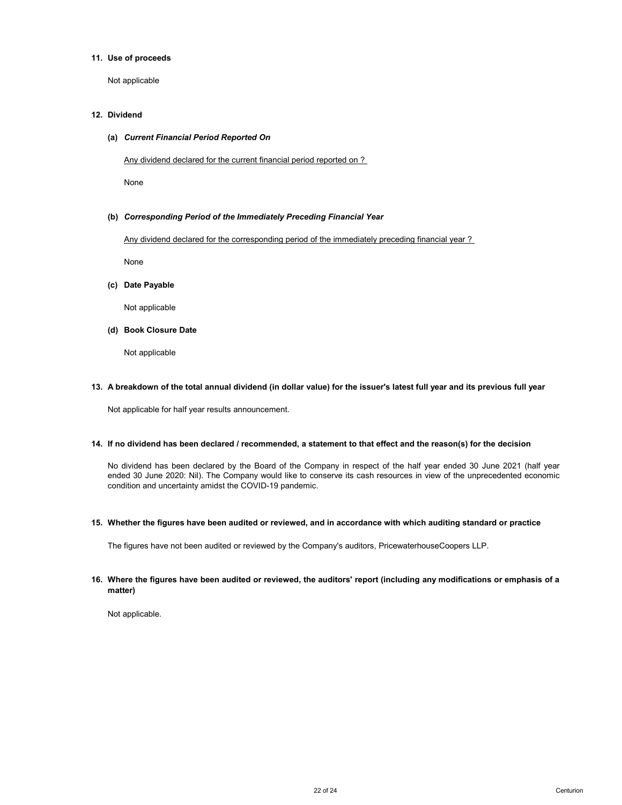# 11. Use of proceeds

Not applicable

# 12. Dividend

### (a) Current Financial Period Reported On

Any dividend declared for the current financial period reported on ?

None

# (b) Corresponding Period of the Immediately Preceding Financial Year

Any dividend declared for the corresponding period of the immediately preceding financial year ?

None

(c) Date Payable

Not applicable

(d) Book Closure Date

Not applicable

# 13. A breakdown of the total annual dividend (in dollar value) for the issuer's latest full year and its previous full year

Not applicable for half year results announcement.

### 14. If no dividend has been declared / recommended, a statement to that effect and the reason(s) for the decision

No dividend has been declared by the Board of the Company in respect of the half year ended 30 June 2021 (half year ended 30 June 2020: Nil). The Company would like to conserve its cash resources in view of the unprecedented economic condition and uncertainty amidst the COVID-19 pandemic.

15. Whether the figures have been audited or reviewed, and in accordance with which auditing standard or practice

The figures have not been audited or reviewed by the Company's auditors, PricewaterhouseCoopers LLP.

# 16. Where the figures have been audited or reviewed, the auditors' report (including any modifications or emphasis of a matter)

Not applicable.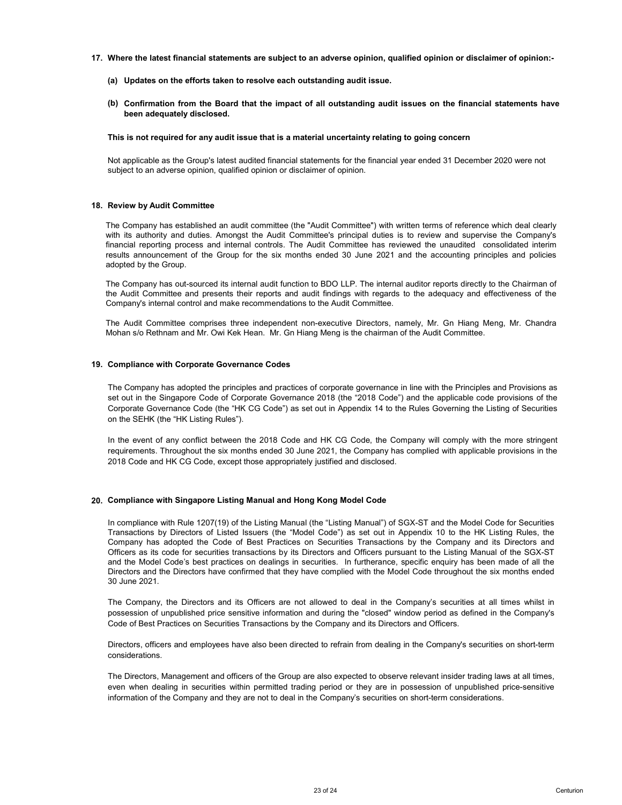- 17. Where the latest financial statements are subject to an adverse opinion, qualified opinion or disclaimer of opinion:-
	- (a) Updates on the efforts taken to resolve each outstanding audit issue.
	- (b) Confirmation from the Board that the impact of all outstanding audit issues on the financial statements have been adequately disclosed.

### This is not required for any audit issue that is a material uncertainty relating to going concern

Not applicable as the Group's latest audited financial statements for the financial year ended 31 December 2020 were not subject to an adverse opinion, qualified opinion or disclaimer of opinion.

### 18. Review by Audit Committee

Where the latest financial statements are subject to an adverse opinion, qualified opinion or disclaimer of opinion:<br>
(a) Updates on the efforts taken to resolve each outstanding audit issue.<br>
(b) Confirmation from the Boa Where the latest financial statements are subject to an adverse opinion, qualified opinion or disclaimer of opinion:<br>
(a) Updates on the efforts taken to resolve each outstanding audit issue.<br>
(b) Confirmation from the Boa Where the latest financial statements are subject to an adverse opinion, qualified opinion or disclaimer of opinion:<br>
(a) Updates on the efforts taken to resolve each outstanding audit issue.<br>
(b) Confirmation from the Boa Where the latest financial statements are subject to an adverse opinion, qualified opinion or disclaimer of opinion:<br>
(a) Updates on the efforts taken to resolve each outstanding audit issue.<br>
(b) Confirmation from the Boa Where the latest financial statements are subject to an adverse opinion, qualified opinion or disclair<br>
(a) Updates on the efforts taken to resolve each outstanding audit issue.<br>
(b) Confirmation from the Board that the im Where the latest financial statements are subject to an adverse opinion, qualified opinion or disclaimer of opinion:<br>
(a) Confirmation from the Board that the impact of all outstanding audit issues on the financial stateme Where the latest financial statements are subject to an adverse opinion, qualified opinion or disclaimer of opinion:<br>
(a) Updates on the offorts taken to resolve each outstanding audit issue.<br>
(b) Confirmation from the Boa Where the latest financial statements are subject to an adverse opinion, qualified opinion or disclaimer of opinion:<br>
(a) Updates on the efforts taken to resolve each outstanding audit issue.<br>
(b) Confirmation from the Boa Where the latest financial statements are subject to an adverse opinion, qualified opinion or disclaimer of opinion:<br>
(a) Confirmation from the Boxed that the impact of all outstanding audit issue.<br>
(b) Confirmation from t (e) Updates on the efforts taken to resolve each outstanding audit issue.<br>
(b) Confirmation from the Board that the impact of all outstanding audit issues on the financial statements have<br>
been adequately disclosed.<br>
This This is not required for any audit issue that is a material uncertainty relating to going concern<br>
Not applicable as the Group's listest audited financial statements for the financial year ended 31 December 2020 were not<br> This is not required for any audit issue that is a material uncertainty relating to going concern<br>
Not applicable as the Group's latest audited financial statements for the financial year ended 31 December 2020 were not<br>
s Not applicable as the Group's latest audited financial statements for the financial year ended 31 December 2020 were not subject to an adverse opinion, qualified opinion or disclaimer of opinion.<br>Review by Audit Committee<br> Not applicable as the Group's latest audited financial statements for the financial year ended 31 December 2020 were not<br>subject to an adverse opinion, qualified opinion or disclaimer of opinion.<br> **Review by Audit Committe** Review by Audit Committee<br>The Company has established an audit committee (the "Audit Committee") with written terms of reference which deal clearly<br>Min is authority and duites. Amongst the Audit Committee's principal duite **Review by Audit Committee**<br>The Company has established an audit committee (the "Audit Committee") with written terms of reference which deal idearly<br>with is authority and duties. Amongst the Audit Committee bar incopatibl Review by Audit Committee<br>The Company has established an audif committee (the "Audit Committee") with written terms of reference which deal clearly<br>Vith its authority and duites. Amongst the Audit Committee's principal dui

## 19. Compliance with Corporate Governance Codes

# 20. Compliance with Singapore Listing Manual and Hong Kong Model Code

Compliance with Singapore Listing Manual and Hong Kong Model Code<br>Company has out-company has not the Distinguia and function to BDO LIP. The internal and/or reports a decline most<br>company's internal control and make recom subsect of any conditions by the Comparison of Listeral and the Model Code Translated Is frequency is the Addit Committee.<br>The Company has out-sourced its internal audit function to BDO LIP. The internal audit committee of The Company has out-leader this internal and therefore by the internal and teller company<br>The Company's internal control and make recommendations to the Company with regards to the adequacy and effectiveness of the<br>Company Ine Andri Committee and presents their reports and andt findings with regards to the atleguator and Provisions of the<br>Company's Internal contribute of the method of maker recommendations to the Committee.<br>The Committee com Compary's internal control and make recommendations to the Audit Committee.<br>
The Audit Committee compresses tree independent non-executive Directors, namely. Mr. Gn Hiang Meng, Mr. Chandra<br>
Mr. David Committee compresses t Compliance on the Directors and the Directors are the model of the Completers. An alternative Directors have the Model Committee.<br>Compliance with Corporate Governance Codes<br>The Company has adopted the principles and practi The Audit Committee comprises three independent non-executive Directors, namely, Mr. Gn Hiar<br>
Mohan s/o Rethnam and Mr. Owi Kek Hean. Mr. Gn Hiang Meng is the chairman of the Audit Commit<br> **Compliance with Corporate Govern Compliance with Corporate Governance Codes**<br>The Company has adopted the principles and practices of corporate governance in line with the Principles and Provisions as<br>test out in the Singagore Code of Corporate Governance **Compilance with Corporate Governance Codes**<br>The Company has adopted the principles and practices of corporate governance in line with the Principles and Provisions as<br>est out in the Singapore Code of Corporate Governance **Compliance with Corporate Governance Codes**<br>The Company has adopted the principles and practices of corporate governance in line with the Principles and Provisions as<br>Best out in the Singapore Code of Corporate Governance The Company has adopted the principles and practices of conporats governance in line with the Principles and Provisions as<br>execut in the Singapore Code of Coprorats Covernance 2018 (the "2018 Code") and the agplicable osed Colleia Controllectors, Management and officers of the Group are also expected to observe relevant insider the memory of the ower of a relevant of the Group are also experiment in the memory of the Group are also experimen evidence and the income present that a 2018. Code and HK CG Code, the Company will comply with the more stringent requirements. Throughout the six months ended 30 June 2021, the Company has compiled with applicable provisi In the event of any conticl between the 2018 Clock and HK CG Code. the Company will comply with the more stringent<br>requirements. Troughout the aix months anded 30 June 2021, the Company has complied with applicable provisi

considerations.